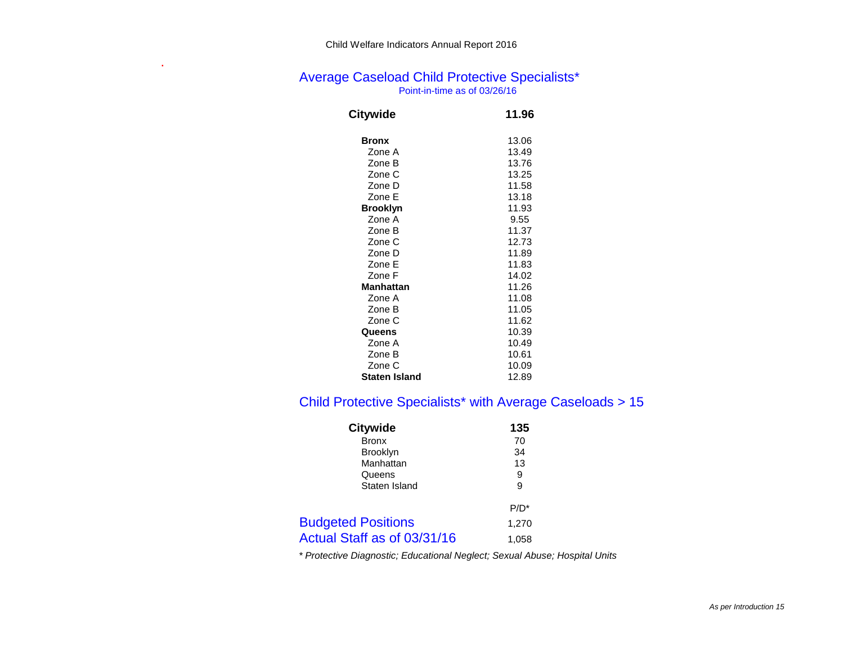## Average Caseload Child Protective Specialists\* Point-in-time as of 03/26/16

| Citywide      | 11.96 |
|---------------|-------|
| <b>Bronx</b>  | 13.06 |
| Zone A        | 13.49 |
| Zone B        | 13.76 |
| Zone C        | 13.25 |
| Zone D        | 11.58 |
| Zone F        | 13.18 |
| Brooklyn      | 11.93 |
| Zone A        | 9.55  |
| Zone B        | 11.37 |
| Zone C        | 12.73 |
| Zone D        | 11.89 |
| Zone E        | 11.83 |
| Zone F        | 14.02 |
| Manhattan     | 11.26 |
| Zone A        | 11.08 |
| Zone B        | 11.05 |
| Zone C        | 11.62 |
| Queens        | 10.39 |
| Zone A        | 10.49 |
| Zone B        | 10.61 |
| Zone C        | 10.09 |
| Staten Island | 12.89 |

# Child Protective Specialists\* with Average Caseloads > 15

| <b>Citywide</b>             | 135     |
|-----------------------------|---------|
| <b>Bronx</b>                | 70      |
| <b>Brooklyn</b>             | 34      |
| Manhattan                   | 13      |
| Queens                      | 9       |
| Staten Island               | 9       |
|                             | $P/D^*$ |
| <b>Budgeted Positions</b>   | 1,270   |
| Actual Staff as of 03/31/16 | 1,058   |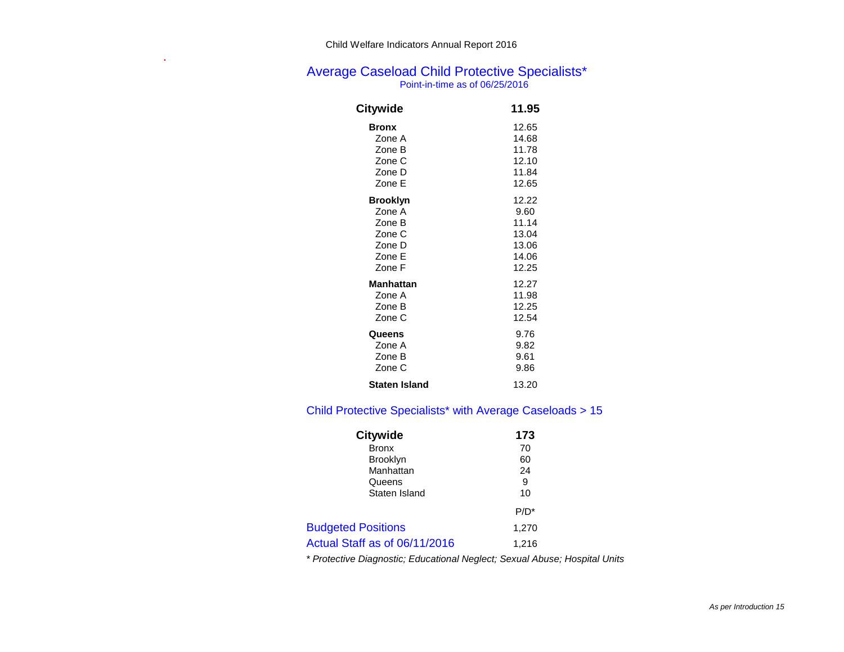# Average Caseload Child Protective Specialists\*

Point-in-time as of 06/25/2016

| Citywide             | 11.95 |
|----------------------|-------|
| <b>Bronx</b>         | 12.65 |
| Zone A               | 14.68 |
| Zone B               | 11.78 |
| Zone C               | 12.10 |
| Zone D               | 11.84 |
| Zone E               | 12.65 |
| <b>Brooklyn</b>      | 12.22 |
| Zone A               | 9.60  |
| Zone B               | 11.14 |
| Zone C               | 13.04 |
| Zone D               | 13.06 |
| Zone E               | 14.06 |
| Zone F               | 12.25 |
| Manhattan            | 12.27 |
| Zone A               | 11.98 |
| Zone B               | 12.25 |
| Zone C               | 12.54 |
| Queens               | 9.76  |
| Zone A               | 9.82  |
| Zone B               | 9.61  |
| Zone C               | 9.86  |
| <b>Staten Island</b> | 13.20 |

# Child Protective Specialists\* with Average Caseloads > 15

| <b>Citywide</b>               | 173     |
|-------------------------------|---------|
| <b>Bronx</b>                  | 70      |
| <b>Brooklyn</b>               | 60      |
| Manhattan                     | 24      |
| Queens                        | 9       |
| Staten Island                 | 10      |
|                               | $P/D^*$ |
| <b>Budgeted Positions</b>     | 1,270   |
| Actual Staff as of 06/11/2016 | 1.216   |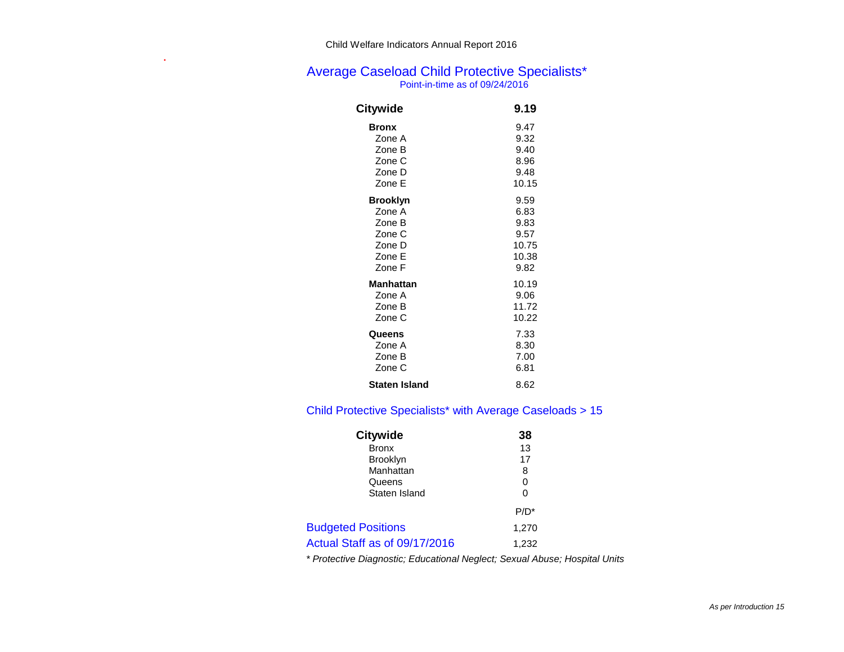# Average Caseload Child Protective Specialists\*

Point-in-time as of 09/24/2016

| Citywide             | 9.19  |
|----------------------|-------|
| <b>Bronx</b>         | 9.47  |
| Zone A               | 9.32  |
| Zone B               | 9.40  |
| Zone C               | 8.96  |
| Zone D               | 9.48  |
| Zone E               | 10.15 |
| <b>Brooklyn</b>      | 9.59  |
| Zone A               | 6.83  |
| Zone B               | 9.83  |
| Zone C               | 9.57  |
| Zone D               | 10.75 |
| Zone E               | 10.38 |
| Zone F               | 9.82  |
| <b>Manhattan</b>     | 10.19 |
| Zone A               | 9.06  |
| Zone B               | 11.72 |
| Zone C               | 10.22 |
| Queens               | 7.33  |
| Zone A               | 8.30  |
| Zone B               | 7.00  |
| Zone C               | 6.81  |
| <b>Staten Island</b> | 8.62  |

# Child Protective Specialists\* with Average Caseloads > 15

| <b>Citywide</b>               | 38      |
|-------------------------------|---------|
| <b>Bronx</b>                  | 13      |
| <b>Brooklyn</b>               | 17      |
| Manhattan                     | 8       |
| Queens                        | 0       |
| Staten Island                 | 0       |
|                               | $P/D^*$ |
| <b>Budgeted Positions</b>     | 1,270   |
| Actual Staff as of 09/17/2016 | 1,232   |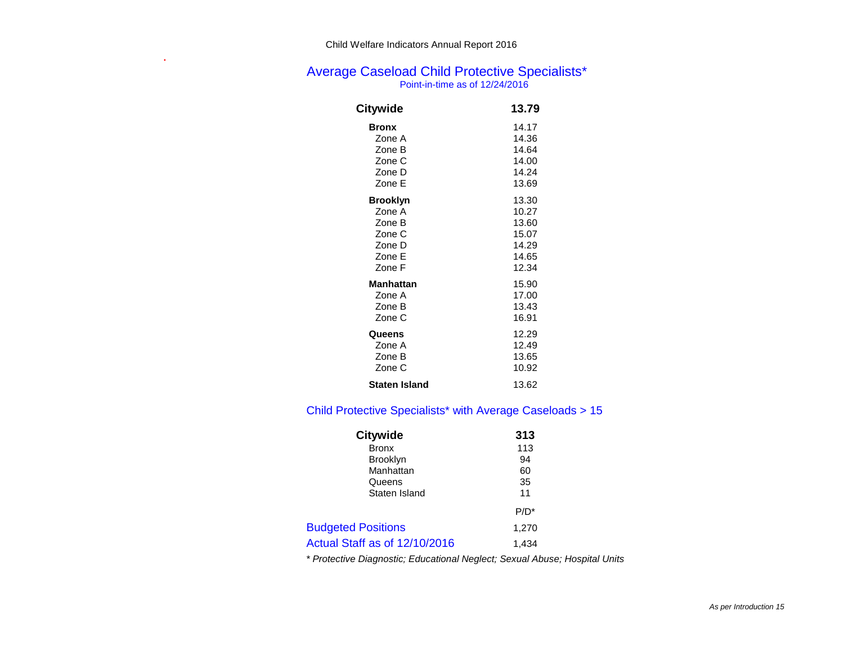## Average Caseload Child Protective Specialists\* Point-in-time as of 12/24/2016

| Citywide             | 13.79 |
|----------------------|-------|
| <b>Bronx</b>         | 14.17 |
| Zone A               | 14.36 |
| Zone B               | 14.64 |
| Zone C               | 14.00 |
| Zone D               | 14.24 |
| Zone E               | 13.69 |
| <b>Brooklyn</b>      | 13.30 |
| Zone A               | 10.27 |
| Zone B               | 13.60 |
| Zone C               | 15.07 |
| Zone D               | 14.29 |
| Zone E               | 14.65 |
| Zone F               | 12.34 |
| Manhattan            | 15.90 |
| Zone A               | 17.00 |
| Zone B               | 13.43 |
| Zone C               | 16.91 |
| Queens               | 12.29 |
| Zone A               | 12.49 |
| Zone B               | 13.65 |
| Zone C               | 10.92 |
| <b>Staten Island</b> | 13.62 |

## Child Protective Specialists\* with Average Caseloads > 15

| <b>Citywide</b>               | 313     |
|-------------------------------|---------|
| <b>Bronx</b>                  | 113     |
| <b>Brooklyn</b>               | 94      |
| Manhattan                     | 60      |
| Queens                        | 35      |
| Staten Island                 | 11      |
|                               | $P/D^*$ |
| <b>Budgeted Positions</b>     | 1,270   |
| Actual Staff as of 12/10/2016 | 1.434   |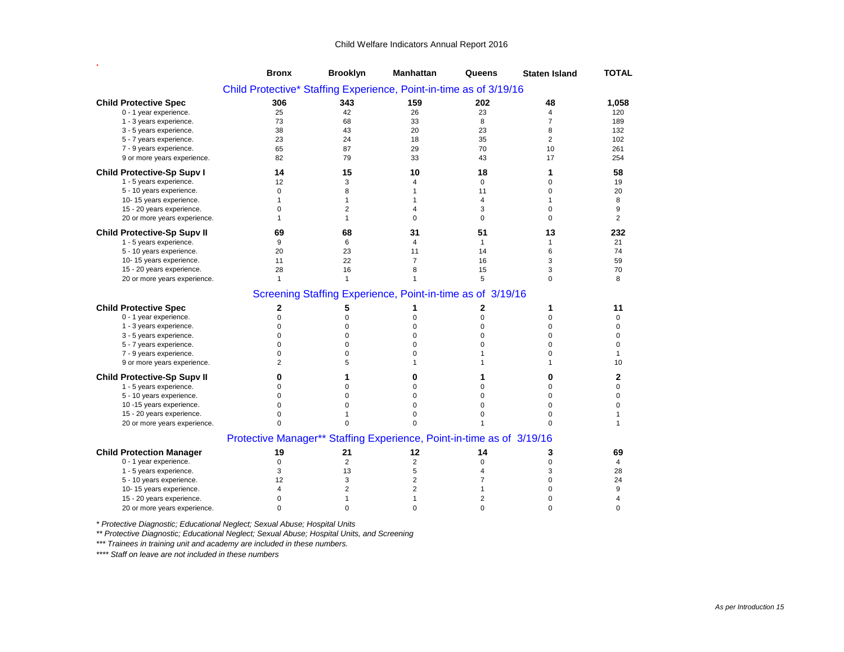|                                                                    | <b>Bronx</b>                                                          | <b>Brooklyn</b> | <b>Manhattan</b>                                           | Queens       | <b>Staten Island</b> | <b>TOTAL</b>   |  |
|--------------------------------------------------------------------|-----------------------------------------------------------------------|-----------------|------------------------------------------------------------|--------------|----------------------|----------------|--|
| Child Protective* Staffing Experience, Point-in-time as of 3/19/16 |                                                                       |                 |                                                            |              |                      |                |  |
| <b>Child Protective Spec</b>                                       | 306                                                                   | 343             | 159                                                        | 202          | 48                   | 1,058          |  |
| 0 - 1 year experience.                                             | 25                                                                    | 42              | 26                                                         | 23           | 4                    | 120            |  |
| 1 - 3 years experience.                                            | 73                                                                    | 68              | 33                                                         | 8            | $\overline{7}$       | 189            |  |
| 3 - 5 years experience.                                            | 38                                                                    | 43              | 20                                                         | 23           | 8                    | 132            |  |
| 5 - 7 years experience.                                            | 23                                                                    | 24              | 18                                                         | 35           | $\overline{2}$       | 102            |  |
| 7 - 9 years experience.                                            | 65                                                                    | 87              | 29                                                         | 70           | 10                   | 261            |  |
| 9 or more years experience.                                        | 82                                                                    | 79              | 33                                                         | 43           | 17                   | 254            |  |
| <b>Child Protective-Sp Supv I</b>                                  | 14                                                                    | 15              | 10                                                         | 18           | 1                    | 58             |  |
| 1 - 5 years experience.                                            | 12                                                                    | 3               | 4                                                          | $\mathbf 0$  | 0                    | 19             |  |
| 5 - 10 years experience.                                           | $\mathbf 0$                                                           | 8               | 1                                                          | 11           | 0                    | 20             |  |
| 10-15 years experience.                                            | $\mathbf{1}$                                                          | $\mathbf{1}$    | 1                                                          | 4            | $\mathbf{1}$         | 8              |  |
| 15 - 20 years experience.                                          | $\Omega$                                                              | $\overline{2}$  | 4                                                          | 3            | $\Omega$             | 9              |  |
| 20 or more years experience.                                       | 1                                                                     | $\mathbf{1}$    | $\Omega$                                                   | $\Omega$     | $\Omega$             | $\overline{2}$ |  |
| <b>Child Protective-Sp Supv II</b>                                 | 69                                                                    | 68              | 31                                                         | 51           | 13                   | 232            |  |
| 1 - 5 years experience.                                            | 9                                                                     | 6               | 4                                                          | $\mathbf{1}$ | $\mathbf{1}$         | 21             |  |
| 5 - 10 years experience.                                           | 20                                                                    | 23              | 11                                                         | 14           | 6                    | 74             |  |
| 10-15 years experience.                                            | 11                                                                    | 22              | $\overline{7}$                                             | 16           | 3                    | 59             |  |
| 15 - 20 years experience.                                          | 28                                                                    | 16              | 8                                                          | 15           | 3                    | 70             |  |
| 20 or more years experience.                                       | $\mathbf{1}$                                                          | $\mathbf{1}$    | 1                                                          | 5            | $\Omega$             | 8              |  |
|                                                                    |                                                                       |                 | Screening Staffing Experience, Point-in-time as of 3/19/16 |              |                      |                |  |
| <b>Child Protective Spec</b>                                       | $\overline{2}$                                                        | 5               | 1                                                          | 2            | 1                    | 11             |  |
| 0 - 1 year experience.                                             | $\mathbf 0$                                                           | $\mathbf 0$     | $\Omega$                                                   | $\Omega$     | $\Omega$             | $\mathbf 0$    |  |
| 1 - 3 years experience.                                            | $\mathbf 0$                                                           | $\mathbf 0$     | 0                                                          | $\Omega$     | 0                    | 0              |  |
| 3 - 5 years experience.                                            | $\mathbf 0$                                                           | $\mathbf 0$     | 0                                                          | $\Omega$     | $\mathbf 0$          | $\mathbf 0$    |  |
| 5 - 7 years experience.                                            | $\mathbf 0$                                                           | $\mathbf 0$     | 0                                                          | 0            | $\mathbf 0$          | $\mathbf 0$    |  |
| 7 - 9 years experience.                                            | $\Omega$                                                              | $\Omega$        | $\Omega$                                                   | 1            | $\Omega$             | 1              |  |
| 9 or more years experience.                                        | $\overline{c}$                                                        | 5               | 1                                                          |              | $\mathbf{1}$         | 10             |  |
| <b>Child Protective-Sp Supv II</b>                                 | 0                                                                     | 1               | 0                                                          | 1            | 0                    | $\mathbf{2}$   |  |
| 1 - 5 years experience.                                            | $\mathbf 0$                                                           | 0               | 0                                                          | 0            | $\mathbf 0$          | $\mathbf 0$    |  |
| 5 - 10 years experience.                                           | $\Omega$                                                              | $\mathbf 0$     | 0                                                          | 0            | $\mathbf 0$          | $\mathbf 0$    |  |
| 10 -15 years experience.                                           | $\mathbf 0$                                                           | $\mathbf 0$     | 0                                                          | 0            | $\mathbf 0$          | $\pmb{0}$      |  |
| 15 - 20 years experience.                                          | $\Omega$                                                              | $\overline{1}$  | 0                                                          | $\Omega$     | $\mathbf 0$          |                |  |
| 20 or more years experience.                                       | $\Omega$                                                              | $\Omega$        | $\Omega$                                                   |              | $\Omega$             | 1              |  |
|                                                                    | Protective Manager** Staffing Experience, Point-in-time as of 3/19/16 |                 |                                                            |              |                      |                |  |
| <b>Child Protection Manager</b>                                    | 19                                                                    | 21              | 12                                                         | 14           | 3                    | 69             |  |
| 0 - 1 year experience.                                             | 0                                                                     | 2               | 2                                                          | 0            | 0                    | 4              |  |
| 1 - 5 years experience.                                            | 3                                                                     | 13              | 5                                                          | 4            | 3                    | 28             |  |
| 5 - 10 years experience.                                           | 12                                                                    | 3               | $\overline{2}$                                             | 7            | $\mathbf 0$          | 24             |  |
| 10-15 years experience.                                            | 4                                                                     | $\overline{2}$  | 2                                                          | 1            | $\mathbf 0$          | 9              |  |
| 15 - 20 years experience.                                          | $\mathbf 0$                                                           | $\mathbf{1}$    | 1                                                          | 2            | $\mathbf 0$          | 4              |  |
| 20 or more years experience.                                       | $\Omega$                                                              | $\Omega$        | 0                                                          | $\Omega$     | $\Omega$             | $\mathbf 0$    |  |

*\* Protective Diagnostic; Educational Neglect; Sexual Abuse; Hospital Units ss*

*\*\* Protective Diagnostic; Educational Neglect; Sexual Abuse; Hospital Units, and Screening gg*

*\*\*\* Trainees in training unit and academy are included in these numbers.*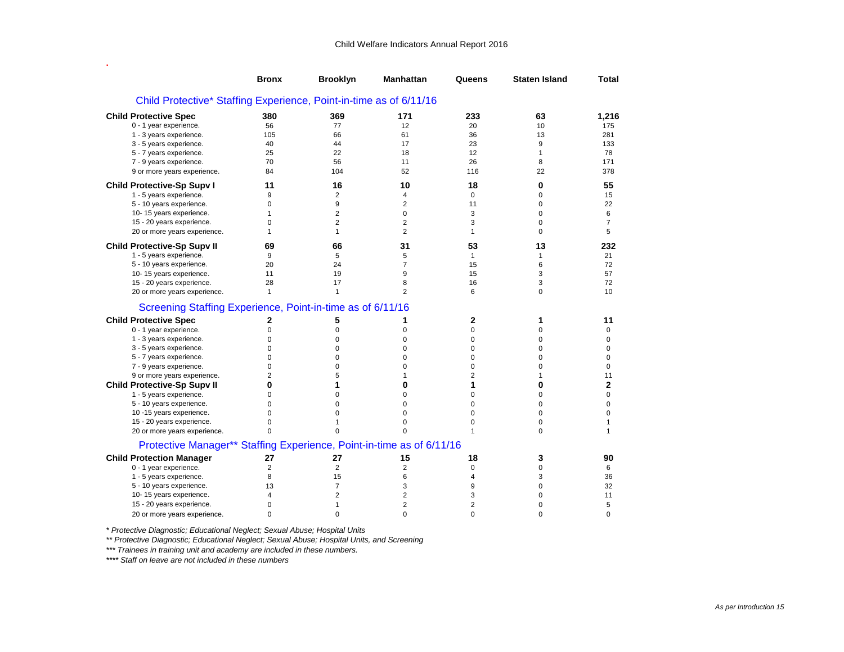.  $\mathcal{L}_{\mathcal{A}}$  is the set of the set of the set of the set of the set of the set of the set of the set of the set of the set of the set of the set of the set of the set of the set of the set of the set of the set of the

|                                                                       | <b>Bronx</b>   | <b>Brooklyn</b> | <b>Manhattan</b> | Queens         | <b>Staten Island</b> | Total          |
|-----------------------------------------------------------------------|----------------|-----------------|------------------|----------------|----------------------|----------------|
| Child Protective* Staffing Experience, Point-in-time as of 6/11/16    |                |                 |                  |                |                      |                |
| <b>Child Protective Spec</b>                                          | 380            | 369             | 171              | 233            | 63                   | 1,216          |
| 0 - 1 year experience.                                                | 56             | 77              | 12               | 20             | 10                   | 175            |
| 1 - 3 years experience.                                               | 105            | 66              | 61               | 36             | 13                   | 281            |
| 3 - 5 years experience.                                               | 40             | 44              | 17               | 23             | 9                    | 133            |
| 5 - 7 years experience.                                               | 25             | 22              | 18               | 12             | 1                    | 78             |
| 7 - 9 years experience.                                               | 70             | 56              | 11               | 26             | 8                    | 171            |
| 9 or more years experience.                                           | 84             | 104             | 52               | 116            | 22                   | 378            |
| <b>Child Protective-Sp Supv I</b>                                     | 11             | 16              | 10               | 18             | 0                    | 55             |
| 1 - 5 years experience.                                               | 9              | 2               | 4                | $\mathbf 0$    | 0                    | 15             |
| 5 - 10 years experience.                                              | $\mathbf 0$    | 9               | $\overline{2}$   | 11             | 0                    | 22             |
| 10-15 years experience.                                               | $\mathbf{1}$   | 2               | $\mathbf 0$      | 3              | 0                    | 6              |
| 15 - 20 years experience.                                             | $\Omega$       | $\overline{2}$  | $\overline{2}$   | 3              | 0                    | $\overline{7}$ |
| 20 or more years experience.                                          | $\mathbf{1}$   | $\mathbf{1}$    | $\overline{2}$   | $\mathbf{1}$   | 0                    | 5              |
| <b>Child Protective-Sp Supv II</b>                                    | 69             | 66              | 31               | 53             | 13                   | 232            |
| 1 - 5 years experience.                                               | 9              | 5               | 5                | $\mathbf{1}$   | 1                    | 21             |
| 5 - 10 years experience.                                              | 20             | 24              | $\overline{7}$   | 15             | 6                    | 72             |
| 10-15 years experience.                                               | 11             | 19              | 9                | 15             | 3                    | 57             |
| 15 - 20 years experience.                                             | 28             | 17              | 8                | 16             | 3                    | 72             |
| 20 or more years experience.                                          | $\mathbf{1}$   | $\mathbf{1}$    | $\overline{2}$   | 6              | 0                    | 10             |
| Screening Staffing Experience, Point-in-time as of 6/11/16            |                |                 |                  |                |                      |                |
| <b>Child Protective Spec</b>                                          | 2              | 5               | 1                | 2              | 1                    | 11             |
| 0 - 1 year experience.                                                | 0              | 0               | 0                | $\mathbf 0$    | 0                    | 0              |
| 1 - 3 years experience.                                               | 0              | 0               | 0                | 0              | 0                    | 0              |
| 3 - 5 years experience.                                               | $\Omega$       | $\Omega$        | 0                | $\Omega$       | $\Omega$             | 0              |
| 5 - 7 years experience.                                               | 0              | 0               | 0                | $\mathbf 0$    | 0                    | 0              |
| 7 - 9 years experience.                                               | $\Omega$       | $\Omega$        | $\Omega$         | $\mathbf 0$    | $\Omega$             | $\mathbf 0$    |
| 9 or more years experience.                                           | $\overline{2}$ | 5               | $\mathbf{1}$     | $\overline{2}$ | 1                    | 11             |
| <b>Child Protective-Sp Supv II</b>                                    | 0              | 1               | 0                | 1              | $\bf{0}$             | $\overline{2}$ |
| 1 - 5 years experience.                                               | 0              | 0               | 0                | 0              | 0                    | 0              |
| 5 - 10 years experience.                                              | $\Omega$       | 0               | 0                | $\mathbf 0$    | 0                    | 0              |
| 10 -15 years experience.                                              | $\Omega$       | 0               | 0                | $\mathbf 0$    | 0                    | 0              |
| 15 - 20 years experience.                                             | $\Omega$       | 1               | $\mathbf 0$      | $\mathbf 0$    | $\mathbf 0$          | $\mathbf{1}$   |
| 20 or more years experience.                                          | $\Omega$       | 0               | $\Omega$         | $\mathbf{1}$   | 0                    | 1              |
| Protective Manager** Staffing Experience, Point-in-time as of 6/11/16 |                |                 |                  |                |                      |                |
| <b>Child Protection Manager</b>                                       | 27             | 27              | 15               | 18             | 3                    | 90             |
| 0 - 1 year experience.                                                | $\overline{2}$ | $\overline{2}$  | $\overline{2}$   | $\mathbf 0$    | 0                    | 6              |
| 1 - 5 years experience.                                               | 8              | 15              | 6                | 4              | 3                    | 36             |
| 5 - 10 years experience.                                              | 13             | $\overline{7}$  | 3                | 9              | 0                    | 32             |
| 10-15 years experience.                                               | 4              | $\overline{2}$  | $\overline{2}$   | 3              | 0                    | 11             |
| 15 - 20 years experience.                                             | $\Omega$       | 1               | $\overline{2}$   | $\overline{2}$ | $\Omega$             | 5              |
| 20 or more years experience.                                          | $\Omega$       | $\Omega$        | $\Omega$         | $\Omega$       | $\Omega$             | $\Omega$       |

*\* Protective Diagnostic; Educational Neglect; Sexual Abuse; Hospital Units ss*

*\*\* Protective Diagnostic; Educational Neglect; Sexual Abuse; Hospital Units, and Screening gg*

*\*\*\* Trainees in training unit and academy are included in these numbers.*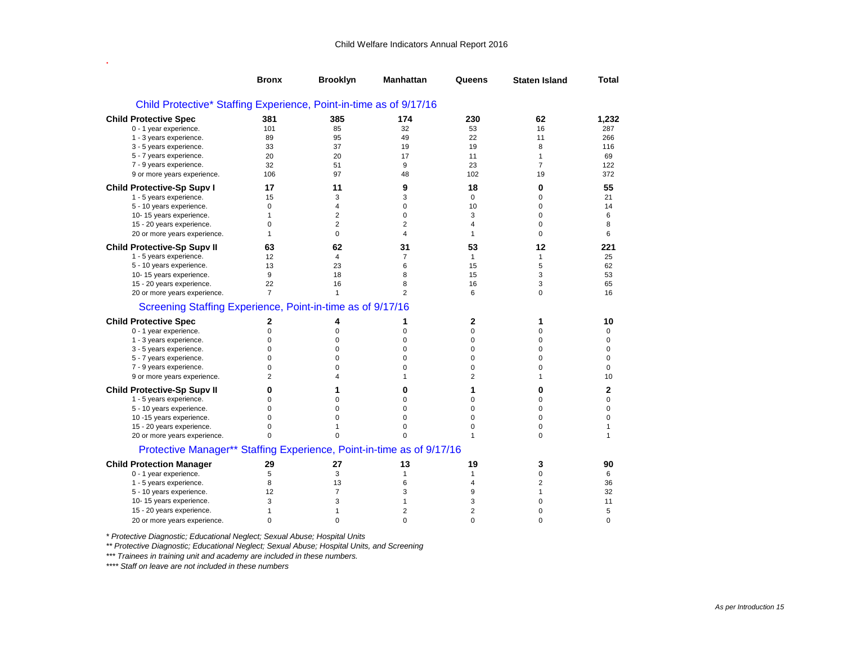.  $\mathcal{L}_{\mathcal{A}}$  is the set of the set of the set of the set of the set of the set of the set of the set of the set of the set of the set of the set of the set of the set of the set of the set of the set of the set of the

|                                                                       | <b>Bronx</b>   | <b>Brooklyn</b> | <b>Manhattan</b> | Queens         | <b>Staten Island</b> | Total        |
|-----------------------------------------------------------------------|----------------|-----------------|------------------|----------------|----------------------|--------------|
| Child Protective* Staffing Experience, Point-in-time as of 9/17/16    |                |                 |                  |                |                      |              |
| <b>Child Protective Spec</b>                                          | 381            | 385             | 174              | 230            | 62                   | 1,232        |
| 0 - 1 year experience.                                                | 101            | 85              | 32               | 53             | 16                   | 287          |
| 1 - 3 years experience.                                               | 89             | 95              | 49               | 22             | 11                   | 266          |
| 3 - 5 years experience.                                               | 33             | 37              | 19               | 19             | 8                    | 116          |
| 5 - 7 years experience.                                               | 20             | 20              | 17               | 11             | $\mathbf{1}$         | 69           |
| 7 - 9 years experience.                                               | 32             | 51              | 9                | 23             | $\overline{7}$       | 122          |
| 9 or more years experience.                                           | 106            | 97              | 48               | 102            | 19                   | 372          |
| <b>Child Protective-Sp Supv I</b>                                     | 17             | 11              | 9                | 18             | 0                    | 55           |
| 1 - 5 years experience.                                               | 15             | 3               | 3                | $\mathbf 0$    | 0                    | 21           |
| 5 - 10 years experience.                                              | $\mathbf 0$    | 4               | $\mathbf 0$      | 10             | $\mathbf 0$          | 14           |
| 10-15 years experience.                                               | $\mathbf{1}$   | $\overline{2}$  | $\mathbf 0$      | 3              | $\mathbf 0$          | 6            |
| 15 - 20 years experience.                                             | 0              | 2               | $\overline{2}$   | 4              | $\pmb{0}$            | 8            |
| 20 or more years experience.                                          | $\mathbf{1}$   | 0               | $\overline{4}$   | 1              | $\mathbf 0$          | 6            |
| <b>Child Protective-Sp Supv II</b>                                    | 63             | 62              | 31               | 53             | 12                   | 221          |
| 1 - 5 years experience.                                               | 12             | 4               | $\overline{7}$   | $\mathbf{1}$   | $\mathbf{1}$         | 25           |
| 5 - 10 years experience.                                              | 13             | 23              | 6                | 15             | 5                    | 62           |
| 10-15 years experience.                                               | 9              | 18              | 8                | 15             | 3                    | 53           |
| 15 - 20 years experience.                                             | 22             | 16              | 8                | 16             | 3                    | 65           |
| 20 or more years experience.                                          | $\overline{7}$ | 1               | $\overline{2}$   | 6              | $\mathbf 0$          | 16           |
| Screening Staffing Experience, Point-in-time as of 9/17/16            |                |                 |                  |                |                      |              |
| <b>Child Protective Spec</b>                                          | 2              | 4               | 1                | 2              | 1                    | 10           |
| 0 - 1 year experience.                                                | $\mathbf 0$    | 0               | 0                | 0              | $\pmb{0}$            | $\mathbf 0$  |
| 1 - 3 years experience.                                               | 0              | 0               | 0                | 0              | $\mathbf 0$          | $\mathbf 0$  |
| 3 - 5 years experience.                                               | $\mathbf 0$    | 0               | $\mathbf 0$      | $\mathbf 0$    | $\mathbf 0$          | $\mathbf 0$  |
| 5 - 7 years experience.                                               | $\mathbf 0$    | 0               | $\mathbf 0$      | $\mathbf 0$    | $\mathbf 0$          | $\mathbf 0$  |
| 7 - 9 years experience.                                               | $\Omega$       | $\Omega$        | $\Omega$         | $\mathbf 0$    | $\mathbf 0$          | $\Omega$     |
| 9 or more years experience.                                           | $\overline{2}$ | 4               | $\mathbf{1}$     | 2              | $\mathbf{1}$         | 10           |
| <b>Child Protective-Sp Supv II</b>                                    | 0              | 1               | 0                | 1              | 0                    | $\mathbf 2$  |
| 1 - 5 years experience.                                               | $\mathbf 0$    | $\mathbf 0$     | $\mathbf 0$      | $\mathbf 0$    | $\mathbf 0$          | $\mathbf 0$  |
| 5 - 10 years experience.                                              | $\Omega$       | $\Omega$        | $\Omega$         | $\Omega$       | $\Omega$             | $\Omega$     |
| 10-15 years experience.                                               | $\Omega$       | $\Omega$        | $\Omega$         | $\Omega$       | $\mathbf 0$          | $\Omega$     |
| 15 - 20 years experience.                                             | 0              | 1               | 0                | $\mathbf 0$    | $\mathbf 0$          | $\mathbf{1}$ |
| 20 or more years experience.                                          | 0              | 0               | $\Omega$         | $\mathbf{1}$   | $\mathbf 0$          | $\mathbf{1}$ |
| Protective Manager** Staffing Experience, Point-in-time as of 9/17/16 |                |                 |                  |                |                      |              |
|                                                                       |                |                 |                  |                |                      |              |
| <b>Child Protection Manager</b>                                       | 29             | 27              | 13               | 19             | 3                    | 90           |
| 0 - 1 year experience.                                                | 5              | 3               | $\mathbf{1}$     | $\mathbf{1}$   | $\mathbf 0$          | 6            |
| 1 - 5 years experience.                                               | 8              | 13              | 6                | $\overline{4}$ | $\overline{2}$       | 36           |
| 5 - 10 years experience.                                              | 12             | 7               | 3                | 9              | $\mathbf{1}$         | 32           |
| 10-15 years experience.                                               | 3              | 3               | $\mathbf{1}$     | 3              | 0                    | 11           |
| 15 - 20 years experience.                                             | $\mathbf{1}$   | 1               | $\overline{2}$   | 2              | 0                    | 5            |
| 20 or more years experience.                                          | $\Omega$       | $\Omega$        | $\Omega$         | $\Omega$       | $\Omega$             | $\Omega$     |

*\* Protective Diagnostic; Educational Neglect; Sexual Abuse; Hospital Units ss*

*\*\* Protective Diagnostic; Educational Neglect; Sexual Abuse; Hospital Units, and Screening gg*

*\*\*\* Trainees in training unit and academy are included in these numbers.*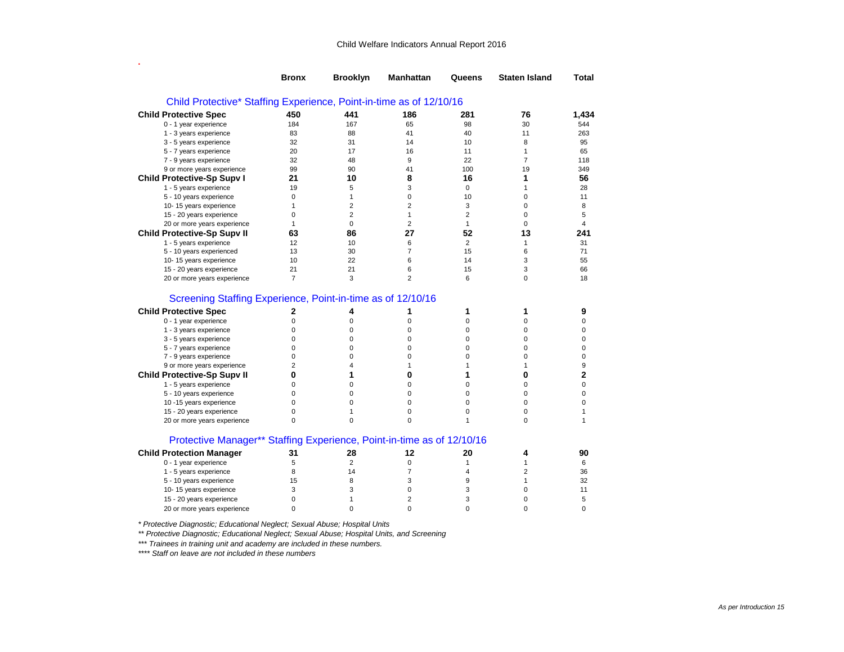|                                                                                                                                                                                                                                   | <b>Bronx</b>                                                                              | <b>Brooklyn</b>                                  | <b>Manhattan</b>                                                   | Queens                                                                       | <b>Staten Island</b>                                 | Total                                                       |
|-----------------------------------------------------------------------------------------------------------------------------------------------------------------------------------------------------------------------------------|-------------------------------------------------------------------------------------------|--------------------------------------------------|--------------------------------------------------------------------|------------------------------------------------------------------------------|------------------------------------------------------|-------------------------------------------------------------|
| Child Protective* Staffing Experience, Point-in-time as of 12/10/16                                                                                                                                                               |                                                                                           |                                                  |                                                                    |                                                                              |                                                      |                                                             |
| <b>Child Protective Spec</b>                                                                                                                                                                                                      | 450                                                                                       | 441                                              | 186                                                                | 281                                                                          | 76                                                   | 1,434                                                       |
| 0 - 1 year experience                                                                                                                                                                                                             | 184                                                                                       | 167                                              | 65                                                                 | 98                                                                           | 30                                                   | 544                                                         |
| 1 - 3 years experience                                                                                                                                                                                                            | 83                                                                                        | 88                                               | 41                                                                 | 40                                                                           | 11                                                   | 263                                                         |
| 3 - 5 years experience                                                                                                                                                                                                            | 32                                                                                        | 31                                               | 14                                                                 | 10                                                                           | 8                                                    | 95                                                          |
| 5 - 7 years experience                                                                                                                                                                                                            | 20                                                                                        | 17                                               | 16                                                                 | 11                                                                           | $\mathbf{1}$                                         | 65                                                          |
| 7 - 9 years experience                                                                                                                                                                                                            | 32                                                                                        | 48                                               | 9                                                                  | 22                                                                           | $\overline{7}$                                       | 118                                                         |
| 9 or more years experience                                                                                                                                                                                                        | 99                                                                                        | 90                                               | 41                                                                 | 100                                                                          | 19                                                   | 349                                                         |
| <b>Child Protective-Sp Supv I</b>                                                                                                                                                                                                 | 21                                                                                        | 10                                               | 8                                                                  | 16                                                                           | 1                                                    | 56                                                          |
| 1 - 5 years experience                                                                                                                                                                                                            | 19                                                                                        | 5                                                | 3                                                                  | $\mathbf 0$                                                                  | $\mathbf{1}$                                         | 28                                                          |
| 5 - 10 years experience                                                                                                                                                                                                           | 0                                                                                         | $\mathbf{1}$                                     | 0                                                                  | 10                                                                           | 0                                                    | 11                                                          |
| 10-15 years experience                                                                                                                                                                                                            | $\mathbf{1}$                                                                              | $\overline{2}$                                   | $\overline{2}$                                                     | 3                                                                            | 0                                                    | 8                                                           |
| 15 - 20 years experience                                                                                                                                                                                                          | $\mathbf 0$                                                                               | $\overline{2}$                                   | $\mathbf{1}$                                                       | $\overline{2}$                                                               | 0                                                    | 5                                                           |
| 20 or more years experience                                                                                                                                                                                                       | $\mathbf{1}$                                                                              | $\mathbf 0$                                      | $\overline{2}$                                                     | $\mathbf{1}$                                                                 | $\Omega$                                             | 4                                                           |
| <b>Child Protective-Sp Supv II</b>                                                                                                                                                                                                | 63                                                                                        | 86                                               | 27                                                                 | 52                                                                           | 13                                                   | 241                                                         |
| 1 - 5 years experience                                                                                                                                                                                                            | 12                                                                                        | 10                                               | 6                                                                  | $\overline{2}$                                                               | $\mathbf{1}$                                         | 31                                                          |
| 5 - 10 years experienced                                                                                                                                                                                                          | 13                                                                                        | 30                                               | $\overline{7}$                                                     | 15                                                                           | 6                                                    | 71                                                          |
| 10-15 years experience                                                                                                                                                                                                            | 10                                                                                        | 22                                               | 6                                                                  | 14                                                                           | 3                                                    | 55                                                          |
| 15 - 20 years experience                                                                                                                                                                                                          | 21                                                                                        | 21                                               | 6                                                                  | 15                                                                           | 3                                                    | 66                                                          |
| 20 or more years experience                                                                                                                                                                                                       | 7                                                                                         | 3                                                | $\overline{2}$                                                     | 6                                                                            | 0                                                    | 18                                                          |
| <b>Child Protective Spec</b><br>0 - 1 year experience<br>1 - 3 years experience<br>3 - 5 years experience<br>5 - 7 years experience<br>7 - 9 years experience<br>9 or more years experience<br><b>Child Protective-Sp Supy II</b> | 2<br>$\mathbf 0$<br>$\mathbf 0$<br>$\mathbf 0$<br>0<br>$\mathbf 0$<br>$\overline{2}$<br>0 | 4<br>0<br>$\Omega$<br>0<br>0<br>0<br>4<br>1<br>0 | 1<br>$\mathbf 0$<br>0<br>$\mathbf 0$<br>0<br>$\mathbf 0$<br>1<br>0 | 1<br>$\mathbf 0$<br>0<br>$\mathbf 0$<br>$\mathbf 0$<br>$\mathbf 0$<br>1<br>1 | 1<br>0<br>0<br>0<br>0<br>0<br>$\mathbf{1}$<br>0<br>0 | 9<br>$\mathbf 0$<br>0<br>0<br>0<br>0<br>9<br>$\overline{2}$ |
| 1 - 5 years experience                                                                                                                                                                                                            | 0                                                                                         |                                                  | 0                                                                  | 0                                                                            |                                                      | 0                                                           |
| 5 - 10 years experience                                                                                                                                                                                                           | 0<br>$\mathbf 0$                                                                          | 0<br>0                                           | 0<br>0                                                             | $\mathbf 0$<br>$\mathbf 0$                                                   | 0<br>0                                               | $\mathbf 0$<br>0                                            |
| 10 -15 years experience                                                                                                                                                                                                           | $\mathbf 0$                                                                               | 1                                                | $\mathbf 0$                                                        | $\mathbf 0$                                                                  | $\mathbf 0$                                          | 1                                                           |
| 15 - 20 years experience                                                                                                                                                                                                          | $\mathbf 0$                                                                               | $\Omega$                                         | $\Omega$                                                           | 1                                                                            | $\Omega$                                             | 1                                                           |
| 20 or more years experience<br>Protective Manager** Staffing Experience, Point-in-time as of 12/10/16                                                                                                                             |                                                                                           |                                                  |                                                                    |                                                                              |                                                      |                                                             |
| <b>Child Protection Manager</b>                                                                                                                                                                                                   | 31                                                                                        | 28                                               | 12                                                                 | 20                                                                           | 4                                                    | 90                                                          |
| 0 - 1 year experience                                                                                                                                                                                                             | 5                                                                                         | $\overline{2}$                                   | 0                                                                  | $\mathbf{1}$                                                                 | $\mathbf{1}$                                         | 6                                                           |
| 1 - 5 years experience                                                                                                                                                                                                            | 8                                                                                         | 14                                               | $\overline{7}$                                                     | 4                                                                            | $\overline{2}$                                       | 36                                                          |
| 5 - 10 years experience                                                                                                                                                                                                           | 15                                                                                        | 8                                                | 3                                                                  | 9                                                                            | $\mathbf{1}$                                         | 32                                                          |
| 10-15 years experience                                                                                                                                                                                                            | 3                                                                                         | 3                                                | 0                                                                  | 3                                                                            | 0                                                    | 11                                                          |
| 15 - 20 years experience                                                                                                                                                                                                          | $\mathbf 0$                                                                               | 1                                                | $\overline{2}$                                                     | 3                                                                            | 0                                                    | 5                                                           |
| 20 or more years experience                                                                                                                                                                                                       | $\Omega$                                                                                  | $\Omega$                                         | $\Omega$                                                           | $\Omega$                                                                     | $\Omega$                                             | $\Omega$                                                    |

*\* Protective Diagnostic; Educational Neglect; Sexual Abuse; Hospital Units ss*

*\*\* Protective Diagnostic; Educational Neglect; Sexual Abuse; Hospital Units, and Screening gg*

*\*\*\* Trainees in training unit and academy are included in these numbers.*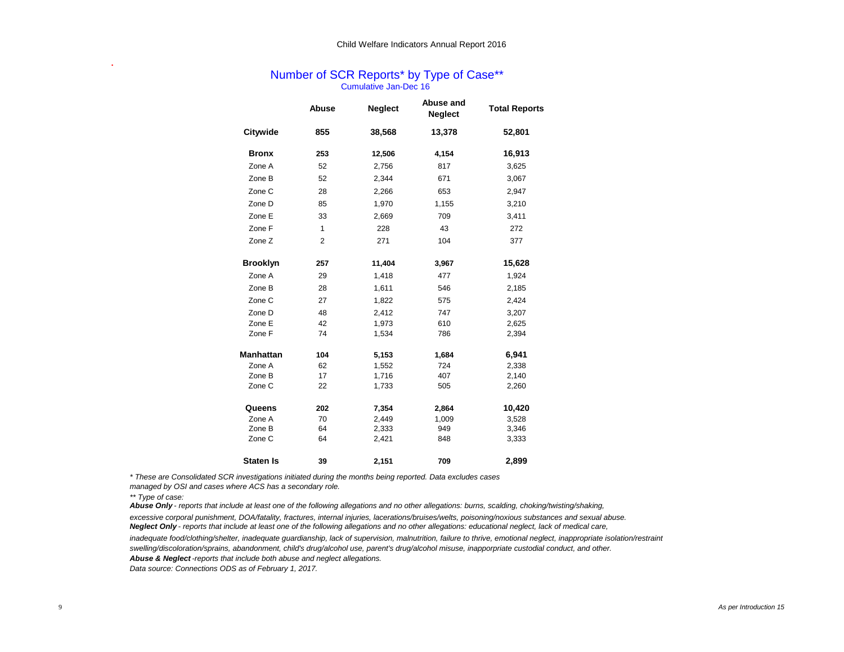## Cumulative Jan-Dec 16 Number of SCR Reports\* by Type of Case\*\*

|                  | Abuse          | <b>Neglect</b> | Abuse and<br><b>Neglect</b> | <b>Total Reports</b> |
|------------------|----------------|----------------|-----------------------------|----------------------|
| Citywide         | 855            | 38,568         | 13,378                      | 52,801               |
| <b>Bronx</b>     | 253            | 12,506         | 4,154                       | 16,913               |
| Zone A           | 52             | 2,756          | 817                         | 3,625                |
| Zone B           | 52             | 2,344          | 671                         | 3,067                |
| Zone C           | 28             | 2,266          | 653                         | 2,947                |
| Zone D           | 85             | 1,970          | 1,155                       | 3,210                |
| Zone E           | 33             | 2,669          | 709                         | 3,411                |
| Zone F           | 1              | 228            | 43                          | 272                  |
| Zone Z           | $\overline{2}$ | 271            | 104                         | 377                  |
| <b>Brooklyn</b>  | 257            | 11,404         | 3,967                       | 15,628               |
| Zone A           | 29             | 1,418          | 477                         | 1,924                |
| Zone B           | 28             | 1,611          | 546                         | 2,185                |
| Zone C           | 27             | 1,822          | 575                         | 2,424                |
| Zone D           | 48             | 2,412          | 747                         | 3,207                |
| Zone E           | 42             | 1,973          | 610                         | 2,625                |
| Zone F           | 74             | 1,534          | 786                         | 2,394                |
| <b>Manhattan</b> | 104            | 5,153          | 1,684                       | 6,941                |
| Zone A           | 62             | 1,552          | 724                         | 2,338                |
| Zone B           | 17             | 1,716          | 407                         | 2,140                |
| Zone C           | 22             | 1,733          | 505                         | 2,260                |
| Queens           | 202            | 7,354          | 2,864                       | 10,420               |
| Zone A           | 70             | 2,449          | 1,009                       | 3,528                |
| Zone B           | 64             | 2,333          | 949                         | 3,346                |
| Zone C           | 64             | 2,421          | 848                         | 3,333                |
| <b>Staten Is</b> | 39             | 2,151          | 709                         | 2,899                |

*\* These are Consolidated SCR investigations initiated during the months being reported. Data excludes cases* 

*managed by OSI and cases where ACS has a secondary role.*

**.**

*Abuse Only - reports that include at least one of the following allegations and no other allegations: burns, scalding, choking/twisting/shaking,*

*excessive corporal punishment, DOA/fatality, fractures, internal injuries, lacerations/bruises/welts, poisoning/noxious substances and sexual abuse. Neglect Only - reports that include at least one of the following allegations and no other allegations: educational neglect, lack of medical care,* 

*inadequate food/clothing/shelter, inadequate guardianship, lack of supervision, malnutrition, failure to thrive, emotional neglect, inappropriate isolation/restraint*

*swelling/discoloration/sprains, abandonment, child's drug/alcohol use, parent's drug/alcohol misuse, inapporpriate custodial conduct, and other.*

*Abuse & Neglect -reports that include both abuse and neglect allegations.*

*<sup>\*\*</sup> Type of case:*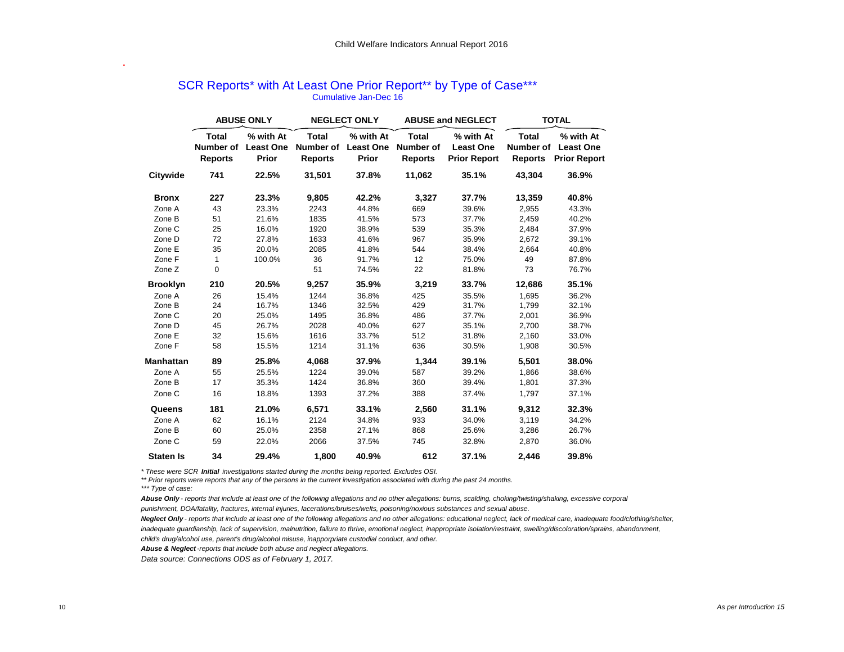|                  |                                             | <b>ABUSE ONLY</b>                      |                                             | <b>NEGLECT ONLY</b>                    |                                             | <b>ABUSE and NEGLECT</b>                             | <b>TOTAL</b>            |                                                         |  |  |
|------------------|---------------------------------------------|----------------------------------------|---------------------------------------------|----------------------------------------|---------------------------------------------|------------------------------------------------------|-------------------------|---------------------------------------------------------|--|--|
|                  | <b>Total</b><br>Number of<br><b>Reports</b> | % with At<br><b>Least One</b><br>Prior | <b>Total</b><br>Number of<br><b>Reports</b> | % with At<br><b>Least One</b><br>Prior | <b>Total</b><br>Number of<br><b>Reports</b> | % with At<br><b>Least One</b><br><b>Prior Report</b> | <b>Total</b><br>Reports | % with At<br>Number of Least One<br><b>Prior Report</b> |  |  |
| Citywide         | 741                                         | 22.5%                                  | 31,501                                      | 37.8%                                  | 11,062                                      | 35.1%                                                | 43,304                  | 36.9%                                                   |  |  |
| <b>Bronx</b>     | 227                                         | 23.3%                                  | 9,805                                       | 42.2%                                  | 3,327                                       | 37.7%                                                | 13,359                  | 40.8%                                                   |  |  |
| Zone A           | 43                                          | 23.3%                                  | 2243                                        | 44.8%                                  | 669                                         | 39.6%                                                | 2,955                   | 43.3%                                                   |  |  |
| Zone B           | 51                                          | 21.6%                                  | 1835                                        | 41.5%                                  | 573                                         | 37.7%                                                | 2,459                   | 40.2%                                                   |  |  |
| Zone C           | 25                                          | 16.0%                                  | 1920                                        | 38.9%                                  | 539                                         | 35.3%                                                | 2,484                   | 37.9%                                                   |  |  |
| Zone D           | 72                                          | 27.8%                                  | 1633                                        | 41.6%                                  | 967                                         | 35.9%                                                | 2,672                   | 39.1%                                                   |  |  |
| Zone E           | 35                                          | 20.0%                                  | 2085                                        | 41.8%                                  | 544                                         | 38.4%                                                | 2,664                   | 40.8%                                                   |  |  |
| Zone F           | $\mathbf{1}$                                | 100.0%                                 | 36                                          | 91.7%                                  | 12 <sup>2</sup>                             | 75.0%                                                | 49                      | 87.8%                                                   |  |  |
| Zone Z           | $\mathbf 0$                                 |                                        | 51                                          | 74.5%                                  | 22                                          | 81.8%                                                | 73                      | 76.7%                                                   |  |  |
| <b>Brooklyn</b>  | 210                                         | 20.5%                                  | 9,257                                       | 35.9%                                  | 3,219                                       | 33.7%                                                | 12,686                  | 35.1%                                                   |  |  |
| Zone A           | 26                                          | 15.4%                                  | 1244                                        | 36.8%                                  | 425                                         | 35.5%                                                | 1,695                   | 36.2%                                                   |  |  |
| Zone B           | 24                                          | 16.7%                                  | 1346                                        | 32.5%                                  | 429                                         | 31.7%                                                | 1.799                   | 32.1%                                                   |  |  |
| Zone C           | 20                                          | 25.0%                                  | 1495                                        | 36.8%                                  | 486                                         | 37.7%                                                | 2,001                   | 36.9%                                                   |  |  |
| Zone D           | 45                                          | 26.7%                                  | 2028                                        | 40.0%                                  | 627                                         | 35.1%                                                | 2.700                   | 38.7%                                                   |  |  |
| Zone E           | 32                                          | 15.6%                                  | 1616                                        | 33.7%                                  | 512                                         | 31.8%                                                | 2,160                   | 33.0%                                                   |  |  |
| Zone F           | 58                                          | 15.5%                                  | 1214                                        | 31.1%                                  | 636                                         | 30.5%                                                | 1,908                   | 30.5%                                                   |  |  |
| <b>Manhattan</b> | 89                                          | 25.8%                                  | 4,068                                       | 37.9%                                  | 1.344                                       | 39.1%                                                | 5,501                   | 38.0%                                                   |  |  |
| Zone A           | 55                                          | 25.5%                                  | 1224                                        | 39.0%                                  | 587                                         | 39.2%                                                | 1.866                   | 38.6%                                                   |  |  |
| Zone B           | 17                                          | 35.3%                                  | 1424                                        | 36.8%                                  | 360                                         | 39.4%                                                | 1,801                   | 37.3%                                                   |  |  |
| Zone C           | 16                                          | 18.8%                                  | 1393                                        | 37.2%                                  | 388                                         | 37.4%                                                | 1,797                   | 37.1%                                                   |  |  |
| Queens           | 181                                         | 21.0%                                  | 6,571                                       | 33.1%                                  | 2,560                                       | 31.1%                                                | 9,312                   | 32.3%                                                   |  |  |
| Zone A           | 62                                          | 16.1%                                  | 2124                                        | 34.8%                                  | 933                                         | 34.0%                                                | 3,119                   | 34.2%                                                   |  |  |
| Zone B           | 60                                          | 25.0%                                  | 2358                                        | 27.1%                                  | 868                                         | 25.6%                                                | 3,286                   | 26.7%                                                   |  |  |
| Zone C           | 59                                          | 22.0%                                  | 2066                                        | 37.5%                                  | 745                                         | 32.8%                                                | 2,870                   | 36.0%                                                   |  |  |
| <b>Staten Is</b> | 34                                          | 29.4%                                  | 1,800                                       | 40.9%                                  | 612                                         | 37.1%                                                | 2.446                   | 39.8%                                                   |  |  |

## SCR Reports\* with At Least One Prior Report\*\* by Type of Case\*\*\* Cumulative Jan-Dec 16

*\* These were SCR Initial investigations started during the months being reported. Excludes OSI.*

*\*\* Prior reports were reports that any of the persons in the current investigation associated with during the past 24 months.* 

*\*\*\* Type of case:*

**.**

Abuse Only - reports that include at least one of the following allegations and no other allegations: burns, scalding, choking/twisting/shaking, excessive corporal

*punishment, DOA/fatality, fractures, internal injuries, lacerations/bruises/welts, poisoning/noxious substances and sexual abuse.*

*Neglect Only - reports that include at least one of the following allegations and no other allegations: educational neglect, lack of medical care, inadequate food/clothing/shelter,*

*inadequate guardianship, lack of supervision, malnutrition, failure to thrive, emotional neglect, inappropriate isolation/restraint, swelling/discoloration/sprains, abandonment,* 

*child's drug/alcohol use, parent's drug/alcohol misuse, inapporpriate custodial conduct, and other.*

*Abuse & Neglect -reports that include both abuse and neglect allegations.*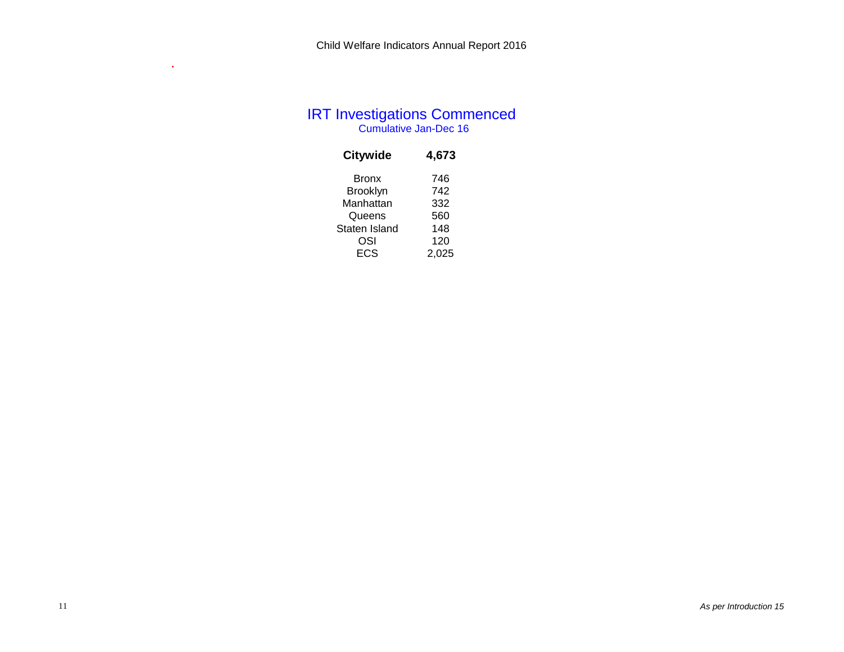# Cumulative Jan-Dec 16 IRT Investigations Commenced

| <b>Citywide</b> | 4,673 |
|-----------------|-------|
| <b>Bronx</b>    | 746   |
| Brooklyn        | 742   |
| Manhattan       | 332   |
| Queens          | 560   |
| Staten Island   | 148   |
| OSI             | 120   |
| ECS             | 2,025 |

**.**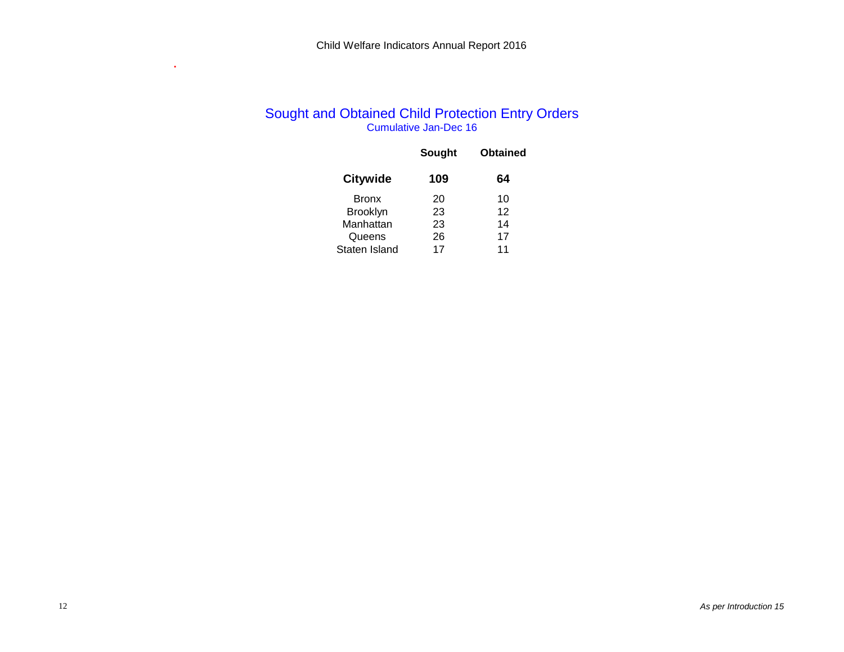## Cumulative Jan-Dec 16 Sought and Obtained Child Protection Entry Orders

|                 | Sought | <b>Obtained</b> |
|-----------------|--------|-----------------|
| <b>Citywide</b> | 109    | 64              |
| <b>Bronx</b>    | 20     | 10              |
| <b>Brooklyn</b> | 23     | 12              |
| Manhattan       | 23     | 14              |
| Queens          | 26     | 17              |
| Staten Island   | 17     | 11              |

**.**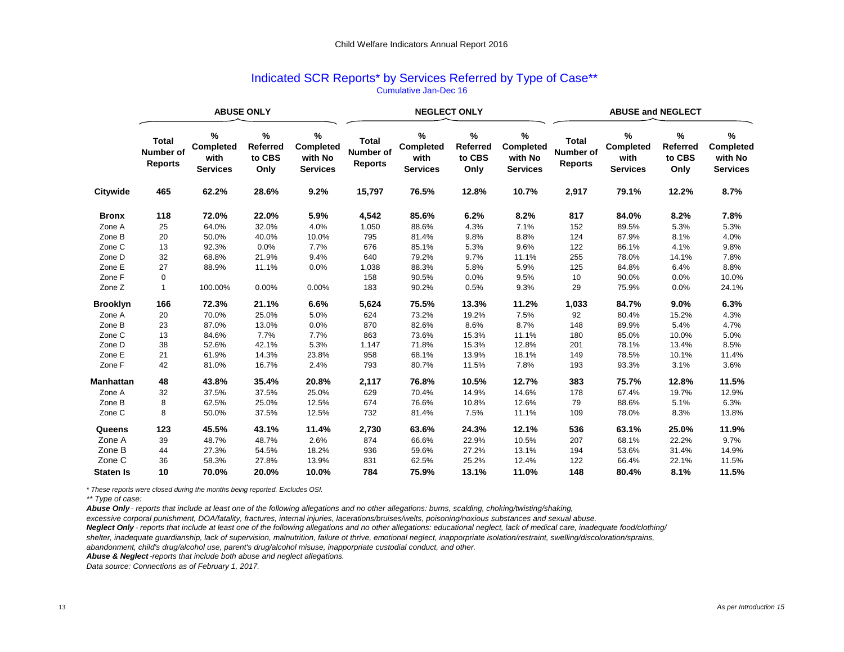| Indicated SCR Reports* by Services Referred by Type of Case** |  |  |  |  |  |  |  |  |  |
|---------------------------------------------------------------|--|--|--|--|--|--|--|--|--|
| Cumulative Jan-Dec 16                                         |  |  |  |  |  |  |  |  |  |

|                  |                                             |                                                     | <b>ABUSE ONLY</b>                         |                                                 |                                             | <b>NEGLECT ONLY</b>                                   |                                        |                                                        | <b>ABUSE and NEGLECT</b>                    |                                                              |                                        |                                              |  |  |
|------------------|---------------------------------------------|-----------------------------------------------------|-------------------------------------------|-------------------------------------------------|---------------------------------------------|-------------------------------------------------------|----------------------------------------|--------------------------------------------------------|---------------------------------------------|--------------------------------------------------------------|----------------------------------------|----------------------------------------------|--|--|
|                  | <b>Total</b><br>Number of<br><b>Reports</b> | $\%$<br><b>Completed</b><br>with<br><b>Services</b> | $\%$<br><b>Referred</b><br>to CBS<br>Only | $\%$<br>Completed<br>with No<br><b>Services</b> | <b>Total</b><br>Number of<br><b>Reports</b> | $\frac{9}{6}$<br>Completed<br>with<br><b>Services</b> | %<br><b>Referred</b><br>to CBS<br>Only | $\%$<br><b>Completed</b><br>with No<br><b>Services</b> | <b>Total</b><br>Number of<br><b>Reports</b> | $\frac{9}{6}$<br><b>Completed</b><br>with<br><b>Services</b> | %<br><b>Referred</b><br>to CBS<br>Only | %<br>Completed<br>with No<br><b>Services</b> |  |  |
| <b>Citywide</b>  | 465                                         | 62.2%                                               | 28.6%                                     | 9.2%                                            | 15,797                                      | 76.5%                                                 | 12.8%                                  | 10.7%                                                  | 2,917                                       | 79.1%                                                        | 12.2%                                  | 8.7%                                         |  |  |
| <b>Bronx</b>     | 118                                         | 72.0%                                               | 22.0%                                     | 5.9%                                            | 4,542                                       | 85.6%                                                 | 6.2%                                   | 8.2%                                                   | 817                                         | 84.0%                                                        | 8.2%                                   | 7.8%                                         |  |  |
| Zone A           | 25                                          | 64.0%                                               | 32.0%                                     | 4.0%                                            | 1,050                                       | 88.6%                                                 | 4.3%                                   | 7.1%                                                   | 152                                         | 89.5%                                                        | 5.3%                                   | 5.3%                                         |  |  |
| Zone B           | 20                                          | 50.0%                                               | 40.0%                                     | 10.0%                                           | 795                                         | 81.4%                                                 | 9.8%                                   | 8.8%                                                   | 124                                         | 87.9%                                                        | 8.1%                                   | 4.0%                                         |  |  |
| Zone C           | 13                                          | 92.3%                                               | 0.0%                                      | 7.7%                                            | 676                                         | 85.1%                                                 | 5.3%                                   | 9.6%                                                   | 122                                         | 86.1%                                                        | 4.1%                                   | 9.8%                                         |  |  |
| Zone D           | 32                                          | 68.8%                                               | 21.9%                                     | 9.4%                                            | 640                                         | 79.2%                                                 | 9.7%                                   | 11.1%                                                  | 255                                         | 78.0%                                                        | 14.1%                                  | 7.8%                                         |  |  |
| Zone E           | 27                                          | 88.9%                                               | 11.1%                                     | 0.0%                                            | 1,038                                       | 88.3%                                                 | 5.8%                                   | 5.9%                                                   | 125                                         | 84.8%                                                        | 6.4%                                   | 8.8%                                         |  |  |
| Zone F           | 0                                           |                                                     |                                           |                                                 | 158                                         | 90.5%                                                 | 0.0%                                   | 9.5%                                                   | 10                                          | 90.0%                                                        | 0.0%                                   | 10.0%                                        |  |  |
| Zone Z           | 1                                           | 100.00%                                             | 0.00%                                     | 0.00%                                           | 183                                         | 90.2%                                                 | 0.5%                                   | 9.3%                                                   | 29                                          | 75.9%                                                        | 0.0%                                   | 24.1%                                        |  |  |
| <b>Brooklyn</b>  | 166                                         | 72.3%                                               | 21.1%                                     | 6.6%                                            | 5,624                                       | 75.5%                                                 | 13.3%                                  | 11.2%                                                  | 1,033                                       | 84.7%                                                        | 9.0%                                   | 6.3%                                         |  |  |
| Zone A           | 20                                          | 70.0%                                               | 25.0%                                     | 5.0%                                            | 624                                         | 73.2%                                                 | 19.2%                                  | 7.5%                                                   | 92                                          | 80.4%                                                        | 15.2%                                  | 4.3%                                         |  |  |
| Zone B           | 23                                          | 87.0%                                               | 13.0%                                     | 0.0%                                            | 870                                         | 82.6%                                                 | 8.6%                                   | 8.7%                                                   | 148                                         | 89.9%                                                        | 5.4%                                   | 4.7%                                         |  |  |
| Zone C           | 13                                          | 84.6%                                               | 7.7%                                      | 7.7%                                            | 863                                         | 73.6%                                                 | 15.3%                                  | 11.1%                                                  | 180                                         | 85.0%                                                        | 10.0%                                  | 5.0%                                         |  |  |
| Zone D           | 38                                          | 52.6%                                               | 42.1%                                     | 5.3%                                            | 1,147                                       | 71.8%                                                 | 15.3%                                  | 12.8%                                                  | 201                                         | 78.1%                                                        | 13.4%                                  | 8.5%                                         |  |  |
| Zone E           | 21                                          | 61.9%                                               | 14.3%                                     | 23.8%                                           | 958                                         | 68.1%                                                 | 13.9%                                  | 18.1%                                                  | 149                                         | 78.5%                                                        | 10.1%                                  | 11.4%                                        |  |  |
| Zone F           | 42                                          | 81.0%                                               | 16.7%                                     | 2.4%                                            | 793                                         | 80.7%                                                 | 11.5%                                  | 7.8%                                                   | 193                                         | 93.3%                                                        | 3.1%                                   | 3.6%                                         |  |  |
| Manhattan        | 48                                          | 43.8%                                               | 35.4%                                     | 20.8%                                           | 2,117                                       | 76.8%                                                 | 10.5%                                  | 12.7%                                                  | 383                                         | 75.7%                                                        | 12.8%                                  | 11.5%                                        |  |  |
| Zone A           | 32                                          | 37.5%                                               | 37.5%                                     | 25.0%                                           | 629                                         | 70.4%                                                 | 14.9%                                  | 14.6%                                                  | 178                                         | 67.4%                                                        | 19.7%                                  | 12.9%                                        |  |  |
| Zone B           | 8                                           | 62.5%                                               | 25.0%                                     | 12.5%                                           | 674                                         | 76.6%                                                 | 10.8%                                  | 12.6%                                                  | 79                                          | 88.6%                                                        | 5.1%                                   | 6.3%                                         |  |  |
| Zone C           | 8                                           | 50.0%                                               | 37.5%                                     | 12.5%                                           | 732                                         | 81.4%                                                 | 7.5%                                   | 11.1%                                                  | 109                                         | 78.0%                                                        | 8.3%                                   | 13.8%                                        |  |  |
| Queens           | 123                                         | 45.5%                                               | 43.1%                                     | 11.4%                                           | 2,730                                       | 63.6%                                                 | 24.3%                                  | 12.1%                                                  | 536                                         | 63.1%                                                        | 25.0%                                  | 11.9%                                        |  |  |
| Zone A           | 39                                          | 48.7%                                               | 48.7%                                     | 2.6%                                            | 874                                         | 66.6%                                                 | 22.9%                                  | 10.5%                                                  | 207                                         | 68.1%                                                        | 22.2%                                  | 9.7%                                         |  |  |
| Zone B           | 44                                          | 27.3%                                               | 54.5%                                     | 18.2%                                           | 936                                         | 59.6%                                                 | 27.2%                                  | 13.1%                                                  | 194                                         | 53.6%                                                        | 31.4%                                  | 14.9%                                        |  |  |
| Zone C           | 36                                          | 58.3%                                               | 27.8%                                     | 13.9%                                           | 831                                         | 62.5%                                                 | 25.2%                                  | 12.4%                                                  | 122                                         | 66.4%                                                        | 22.1%                                  | 11.5%                                        |  |  |
| <b>Staten Is</b> | 10                                          | 70.0%                                               | 20.0%                                     | 10.0%                                           | 784                                         | 75.9%                                                 | 13.1%                                  | 11.0%                                                  | 148                                         | 80.4%                                                        | 8.1%                                   | 11.5%                                        |  |  |

*\* These reports were closed during the months being reported. Excludes OSI.*

*\*\* Type of case:*

*Abuse Only - reports that include at least one of the following allegations and no other allegations: burns, scalding, choking/twisting/shaking,* 

*excessive corporal punishment, DOA/fatality, fractures, internal injuries, lacerations/bruises/welts, poisoning/noxious substances and sexual abuse.*

*Neglect Only - reports that include at least one of the following allegations and no other allegations: educational neglect, lack of medical care, inadequate food/clothing/*

*shelter, inadequate guardianship, lack of supervision, malnutrition, failure ot thrive, emotional neglect, inapporpriate isolation/restraint, swelling/discoloration/sprains,*

*abandonment, child's drug/alcohol use, parent's drug/alcohol misuse, inapporpriate custodial conduct, and other.*

*Abuse & Neglect -reports that include both abuse and neglect allegations.*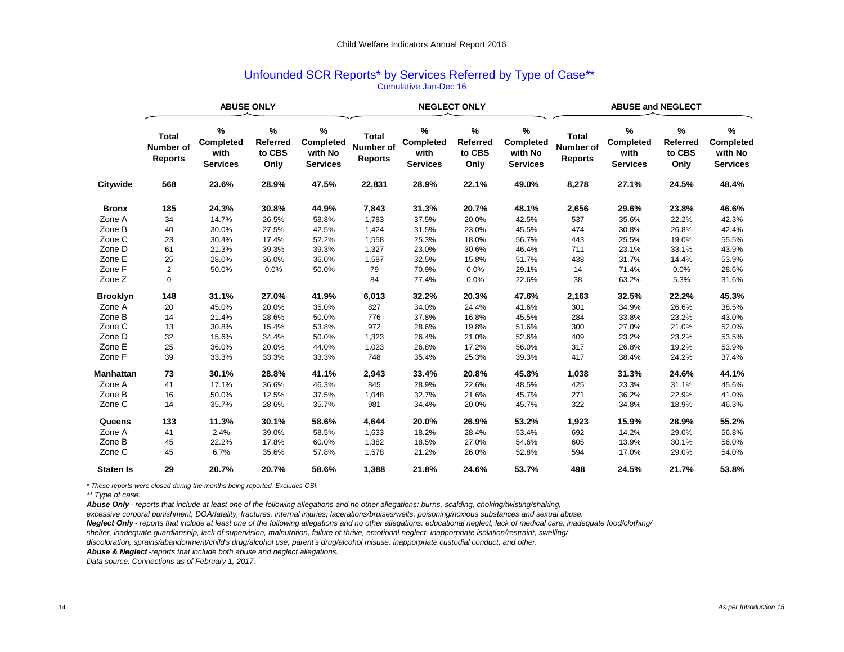## Unfounded SCR Reports\* by Services Referred by Type of Case\*\*\* Cumulative Jan-Dec 16

|                  |                                                    | <b>ABUSE ONLY</b>                         |                                        |                                                        |                                             |                                                  | <b>NEGLECT ONLY</b>                    |                                                     | <b>ABUSE and NEGLECT</b>                           |                                           |                                        |                                              |  |  |
|------------------|----------------------------------------------------|-------------------------------------------|----------------------------------------|--------------------------------------------------------|---------------------------------------------|--------------------------------------------------|----------------------------------------|-----------------------------------------------------|----------------------------------------------------|-------------------------------------------|----------------------------------------|----------------------------------------------|--|--|
|                  | <b>Total</b><br><b>Number of</b><br><b>Reports</b> | %<br>Completed<br>with<br><b>Services</b> | %<br><b>Referred</b><br>to CBS<br>Only | $\%$<br><b>Completed</b><br>with No<br><b>Services</b> | <b>Total</b><br>Number of<br><b>Reports</b> | %<br><b>Completed</b><br>with<br><b>Services</b> | %<br><b>Referred</b><br>to CBS<br>Only | %<br><b>Completed</b><br>with No<br><b>Services</b> | <b>Total</b><br><b>Number of</b><br><b>Reports</b> | %<br>Completed<br>with<br><b>Services</b> | %<br><b>Referred</b><br>to CBS<br>Only | %<br>Completed<br>with No<br><b>Services</b> |  |  |
| Citywide         | 568                                                | 23.6%                                     | 28.9%                                  | 47.5%                                                  | 22,831                                      | 28.9%                                            | 22.1%                                  | 49.0%                                               | 8,278                                              | 27.1%                                     | 24.5%                                  | 48.4%                                        |  |  |
| <b>Bronx</b>     | 185                                                | 24.3%                                     | 30.8%                                  | 44.9%                                                  | 7,843                                       | 31.3%                                            | 20.7%                                  | 48.1%                                               | 2,656                                              | 29.6%                                     | 23.8%                                  | 46.6%                                        |  |  |
| Zone A           | 34                                                 | 14.7%                                     | 26.5%                                  | 58.8%                                                  | 1,783                                       | 37.5%                                            | 20.0%                                  | 42.5%                                               | 537                                                | 35.6%                                     | 22.2%                                  | 42.3%                                        |  |  |
| Zone B           | 40                                                 | 30.0%                                     | 27.5%                                  | 42.5%                                                  | 1,424                                       | 31.5%                                            | 23.0%                                  | 45.5%                                               | 474                                                | 30.8%                                     | 26.8%                                  | 42.4%                                        |  |  |
| Zone C           | 23                                                 | 30.4%                                     | 17.4%                                  | 52.2%                                                  | 1,558                                       | 25.3%                                            | 18.0%                                  | 56.7%                                               | 443                                                | 25.5%                                     | 19.0%                                  | 55.5%                                        |  |  |
| Zone D           | 61                                                 | 21.3%                                     | 39.3%                                  | 39.3%                                                  | 1,327                                       | 23.0%                                            | 30.6%                                  | 46.4%                                               | 711                                                | 23.1%                                     | 33.1%                                  | 43.9%                                        |  |  |
| Zone E           | 25                                                 | 28.0%                                     | 36.0%                                  | 36.0%                                                  | 1,587                                       | 32.5%                                            | 15.8%                                  | 51.7%                                               | 438                                                | 31.7%                                     | 14.4%                                  | 53.9%                                        |  |  |
| Zone F           | $\overline{\mathbf{c}}$                            | 50.0%                                     | 0.0%                                   | 50.0%                                                  | 79                                          | 70.9%                                            | 0.0%                                   | 29.1%                                               | 14                                                 | 71.4%                                     | 0.0%                                   | 28.6%                                        |  |  |
| Zone Z           | $\pmb{0}$                                          |                                           |                                        |                                                        | 84                                          | 77.4%                                            | 0.0%                                   | 22.6%                                               | 38                                                 | 63.2%                                     | 5.3%                                   | 31.6%                                        |  |  |
| <b>Brooklyn</b>  | 148                                                | 31.1%                                     | 27.0%                                  | 41.9%                                                  | 6,013                                       | 32.2%                                            | 20.3%                                  | 47.6%                                               | 2,163                                              | 32.5%                                     | 22.2%                                  | 45.3%                                        |  |  |
| Zone A           | 20                                                 | 45.0%                                     | 20.0%                                  | 35.0%                                                  | 827                                         | 34.0%                                            | 24.4%                                  | 41.6%                                               | 301                                                | 34.9%                                     | 26.6%                                  | 38.5%                                        |  |  |
| Zone B           | 14                                                 | 21.4%                                     | 28.6%                                  | 50.0%                                                  | 776                                         | 37.8%                                            | 16.8%                                  | 45.5%                                               | 284                                                | 33.8%                                     | 23.2%                                  | 43.0%                                        |  |  |
| Zone C           | 13                                                 | 30.8%                                     | 15.4%                                  | 53.8%                                                  | 972                                         | 28.6%                                            | 19.8%                                  | 51.6%                                               | 300                                                | 27.0%                                     | 21.0%                                  | 52.0%                                        |  |  |
| Zone D           | 32                                                 | 15.6%                                     | 34.4%                                  | 50.0%                                                  | 1,323                                       | 26.4%                                            | 21.0%                                  | 52.6%                                               | 409                                                | 23.2%                                     | 23.2%                                  | 53.5%                                        |  |  |
| Zone E           | 25                                                 | 36.0%                                     | 20.0%                                  | 44.0%                                                  | 1,023                                       | 26.8%                                            | 17.2%                                  | 56.0%                                               | 317                                                | 26.8%                                     | 19.2%                                  | 53.9%                                        |  |  |
| Zone F           | 39                                                 | 33.3%                                     | 33.3%                                  | 33.3%                                                  | 748                                         | 35.4%                                            | 25.3%                                  | 39.3%                                               | 417                                                | 38.4%                                     | 24.2%                                  | 37.4%                                        |  |  |
| Manhattan        | 73                                                 | 30.1%                                     | 28.8%                                  | 41.1%                                                  | 2,943                                       | 33.4%                                            | 20.8%                                  | 45.8%                                               | 1,038                                              | 31.3%                                     | 24.6%                                  | 44.1%                                        |  |  |
| Zone A           | 41                                                 | 17.1%                                     | 36.6%                                  | 46.3%                                                  | 845                                         | 28.9%                                            | 22.6%                                  | 48.5%                                               | 425                                                | 23.3%                                     | 31.1%                                  | 45.6%                                        |  |  |
| Zone B           | 16                                                 | 50.0%                                     | 12.5%                                  | 37.5%                                                  | 1,048                                       | 32.7%                                            | 21.6%                                  | 45.7%                                               | 271                                                | 36.2%                                     | 22.9%                                  | 41.0%                                        |  |  |
| Zone C           | 14                                                 | 35.7%                                     | 28.6%                                  | 35.7%                                                  | 981                                         | 34.4%                                            | 20.0%                                  | 45.7%                                               | 322                                                | 34.8%                                     | 18.9%                                  | 46.3%                                        |  |  |
| Queens           | 133                                                | 11.3%                                     | 30.1%                                  | 58.6%                                                  | 4,644                                       | 20.0%                                            | 26.9%                                  | 53.2%                                               | 1,923                                              | 15.9%                                     | 28.9%                                  | 55.2%                                        |  |  |
| Zone A           | 41                                                 | 2.4%                                      | 39.0%                                  | 58.5%                                                  | 1,633                                       | 18.2%                                            | 28.4%                                  | 53.4%                                               | 692                                                | 14.2%                                     | 29.0%                                  | 56.8%                                        |  |  |
| Zone B           | 45                                                 | 22.2%                                     | 17.8%                                  | 60.0%                                                  | 1,382                                       | 18.5%                                            | 27.0%                                  | 54.6%                                               | 605                                                | 13.9%                                     | 30.1%                                  | 56.0%                                        |  |  |
| Zone C           | 45                                                 | 6.7%                                      | 35.6%                                  | 57.8%                                                  | 1,578                                       | 21.2%                                            | 26.0%                                  | 52.8%                                               | 594                                                | 17.0%                                     | 29.0%                                  | 54.0%                                        |  |  |
| <b>Staten Is</b> | 29                                                 | 20.7%                                     | 20.7%                                  | 58.6%                                                  | 1,388                                       | 21.8%                                            | 24.6%                                  | 53.7%                                               | 498                                                | 24.5%                                     | 21.7%                                  | 53.8%                                        |  |  |

*\* These reports were closed during the months being reported. Excludes OSI.*

*\*\* Type of case:*

*Abuse Only - reports that include at least one of the following allegations and no other allegations: burns, scalding, choking/twisting/shaking,* 

*excessive corporal punishment, DOA/fatality, fractures, internal injuries, lacerations/bruises/welts, poisoning/noxious substances and sexual abuse.*

*Neglect Only - reports that include at least one of the following allegations and no other allegations: educational neglect, lack of medical care, inadequate food/clothing/*

*shelter, inadequate guardianship, lack of supervision, malnutrition, failure ot thrive, emotional neglect, inapporpriate isolation/restraint, swelling/*

*discoloration, sprains/abandonment/child's drug/alcohol use, parent's drug/alcohol misuse, inapporpriate custodial conduct, and other.*

*Abuse & Neglect -reports that include both abuse and neglect allegations.*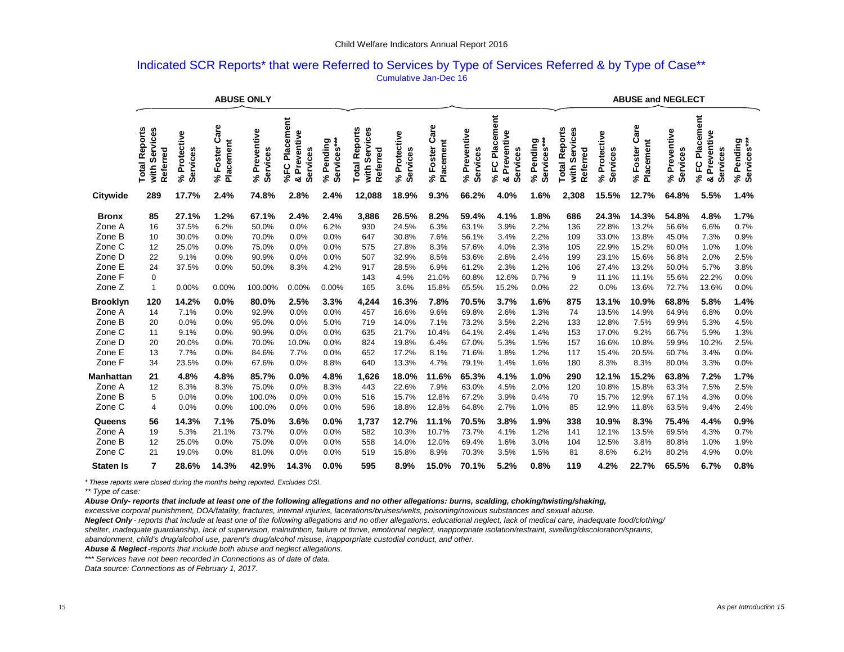## Indicated SCR Reports\* that were Referred to Services by Type of Services Referred & by Type of Case\*\* Cumulative Jan-Dec 16

|                                                                                                       | <b>ABUSE ONLY</b>                                            |                                                                     |                                                               |                                                                        |                                                               |                                                               |                                                        |                                                                             |                                                                        |                                                                               |                                                                        |                                                                      |                                                          | <b>ABUSE and NEGLECT</b>                                                     |                                                                               |                                                                               |                                                                        |                                                                      |
|-------------------------------------------------------------------------------------------------------|--------------------------------------------------------------|---------------------------------------------------------------------|---------------------------------------------------------------|------------------------------------------------------------------------|---------------------------------------------------------------|---------------------------------------------------------------|--------------------------------------------------------|-----------------------------------------------------------------------------|------------------------------------------------------------------------|-------------------------------------------------------------------------------|------------------------------------------------------------------------|----------------------------------------------------------------------|----------------------------------------------------------|------------------------------------------------------------------------------|-------------------------------------------------------------------------------|-------------------------------------------------------------------------------|------------------------------------------------------------------------|----------------------------------------------------------------------|
|                                                                                                       | w<br>Services<br>Report<br>Referred<br><b>Total</b><br>with  | ctive<br>Services<br>ĕ<br>č<br>న్                                   | are<br>ပ<br>Placement<br>Foster<br>న్                         | Preventive<br>Services<br>న్                                           | Placement<br>Preventive<br>Services<br>%FC<br>œ               | Services***<br>Services***<br>Pendin<br>$\mathcal{S}$         | Reports<br>Services<br>Referred<br>Total<br>with       | Protective<br>Services<br>న్                                                | are<br>ن<br>Placement<br>Foster<br>న                                   | Preventive<br>Services<br>న్                                                  | Placement<br>Preventive<br>Services<br>ပူ<br>న్<br>œ                   | Services***<br>Pending<br>వ్                                         | <b>Total Reports</b><br>Services<br>Referred<br>with     | Protective<br>Service<br>న్                                                  | are<br>ن<br>Placement<br>Foster<br>వి                                         | Preventive<br>Services<br>న్                                                  | Placement<br>Preventive<br>Services<br>ပူ<br>న్<br>ಯ                   | % Pending<br>Services***                                             |
| Citywide                                                                                              | 289                                                          | 17.7%                                                               | 2.4%                                                          | 74.8%                                                                  | 2.8%                                                          | 2.4%                                                          | 12,088                                                 | 18.9%                                                                       | 9.3%                                                                   | 66.2%                                                                         | 4.0%                                                                   | 1.6%                                                                 | 2,308                                                    | 15.5%                                                                        | 12.7%                                                                         | 64.8%                                                                         | 5.5%                                                                   | 1.4%                                                                 |
| <b>Bronx</b><br>Zone A<br>Zone B<br>Zone C<br>Zone D<br>Zone E<br>Zone F<br>Zone Z<br><b>Brooklyn</b> | 85<br>16<br>10<br>12<br>22<br>24<br>0<br>$\mathbf{1}$<br>120 | 27.1%<br>37.5%<br>30.0%<br>25.0%<br>9.1%<br>37.5%<br>0.00%<br>14.2% | 1.2%<br>6.2%<br>0.0%<br>0.0%<br>0.0%<br>0.0%<br>0.00%<br>0.0% | 67.1%<br>50.0%<br>70.0%<br>75.0%<br>90.9%<br>50.0%<br>100.00%<br>80.0% | 2.4%<br>0.0%<br>0.0%<br>0.0%<br>0.0%<br>8.3%<br>0.00%<br>2.5% | 2.4%<br>6.2%<br>0.0%<br>0.0%<br>0.0%<br>4.2%<br>0.00%<br>3.3% | 3,886<br>930<br>647<br>575<br>507<br>917<br>143<br>165 | 26.5%<br>24.5%<br>30.8%<br>27.8%<br>32.9%<br>28.5%<br>4.9%<br>3.6%<br>16.3% | 8.2%<br>6.3%<br>7.6%<br>8.3%<br>8.5%<br>6.9%<br>21.0%<br>15.8%<br>7.8% | 59.4%<br>63.1%<br>56.1%<br>57.6%<br>53.6%<br>61.2%<br>60.8%<br>65.5%<br>70.5% | 4.1%<br>3.9%<br>3.4%<br>4.0%<br>2.6%<br>2.3%<br>12.6%<br>15.2%<br>3.7% | 1.8%<br>2.2%<br>2.2%<br>2.3%<br>2.4%<br>1.2%<br>0.7%<br>0.0%<br>1.6% | 686<br>136<br>109<br>105<br>199<br>106<br>9<br>22<br>875 | 24.3%<br>22.8%<br>33.0%<br>22.9%<br>23.1%<br>27.4%<br>11.1%<br>0.0%<br>13.1% | 14.3%<br>13.2%<br>13.8%<br>15.2%<br>15.6%<br>13.2%<br>11.1%<br>13.6%<br>10.9% | 54.8%<br>56.6%<br>45.0%<br>60.0%<br>56.8%<br>50.0%<br>55.6%<br>72.7%<br>68.8% | 4.8%<br>6.6%<br>7.3%<br>1.0%<br>2.0%<br>5.7%<br>22.2%<br>13.6%<br>5.8% | 1.7%<br>0.7%<br>0.9%<br>1.0%<br>2.5%<br>3.8%<br>0.0%<br>0.0%<br>1.4% |
| Zone A<br>Zone B<br>Zone C<br>Zone D<br>Zone E<br>Zone F                                              | 14<br>20<br>11<br>20<br>13<br>34                             | 7.1%<br>0.0%<br>9.1%<br>20.0%<br>7.7%<br>23.5%                      | 0.0%<br>0.0%<br>0.0%<br>0.0%<br>0.0%<br>0.0%                  | 92.9%<br>95.0%<br>90.9%<br>70.0%<br>84.6%<br>67.6%                     | 0.0%<br>0.0%<br>0.0%<br>10.0%<br>7.7%<br>0.0%                 | 0.0%<br>5.0%<br>0.0%<br>0.0%<br>0.0%<br>8.8%                  | 4,244<br>457<br>719<br>635<br>824<br>652<br>640        | 16.6%<br>14.0%<br>21.7%<br>19.8%<br>17.2%<br>13.3%                          | 9.6%<br>7.1%<br>10.4%<br>6.4%<br>8.1%<br>4.7%                          | 69.8%<br>73.2%<br>64.1%<br>67.0%<br>71.6%<br>79.1%                            | 2.6%<br>3.5%<br>2.4%<br>5.3%<br>1.8%<br>1.4%                           | 1.3%<br>2.2%<br>1.4%<br>1.5%<br>1.2%<br>1.6%                         | 74<br>133<br>153<br>157<br>117<br>180                    | 13.5%<br>12.8%<br>17.0%<br>16.6%<br>15.4%<br>8.3%                            | 14.9%<br>7.5%<br>9.2%<br>10.8%<br>20.5%<br>8.3%                               | 64.9%<br>69.9%<br>66.7%<br>59.9%<br>60.7%<br>80.0%                            | 6.8%<br>5.3%<br>5.9%<br>10.2%<br>3.4%<br>3.3%                          | 0.0%<br>4.5%<br>1.3%<br>2.5%<br>0.0%<br>0.0%                         |
| Manhattan<br>Zone A<br>Zone B<br>Zone C                                                               | 21<br>12<br>5<br>4                                           | 4.8%<br>8.3%<br>0.0%<br>0.0%                                        | 4.8%<br>8.3%<br>0.0%<br>0.0%                                  | 85.7%<br>75.0%<br>100.0%<br>100.0%                                     | 0.0%<br>0.0%<br>0.0%<br>0.0%                                  | 4.8%<br>8.3%<br>0.0%<br>0.0%                                  | 1,626<br>443<br>516<br>596                             | 18.0%<br>22.6%<br>15.7%<br>18.8%                                            | 11.6%<br>7.9%<br>12.8%<br>12.8%                                        | 65.3%<br>63.0%<br>67.2%<br>64.8%                                              | 4.1%<br>4.5%<br>3.9%<br>2.7%                                           | 1.0%<br>2.0%<br>0.4%<br>1.0%                                         | 290<br>120<br>70<br>85                                   | 12.1%<br>10.8%<br>15.7%<br>12.9%                                             | 15.2%<br>15.8%<br>12.9%<br>11.8%                                              | 63.8%<br>63.3%<br>67.1%<br>63.5%                                              | 7.2%<br>7.5%<br>4.3%<br>9.4%                                           | 1.7%<br>2.5%<br>0.0%<br>2.4%                                         |
| Queens<br>Zone A<br>Zone B<br>Zone C<br><b>Staten Is</b>                                              | 56<br>19<br>12<br>21<br>7                                    | 14.3%<br>5.3%<br>25.0%<br>19.0%<br>28.6%                            | 7.1%<br>21.1%<br>0.0%<br>0.0%<br>14.3%                        | 75.0%<br>73.7%<br>75.0%<br>81.0%<br>42.9%                              | 3.6%<br>0.0%<br>0.0%<br>0.0%<br>14.3%                         | 0.0%<br>0.0%<br>0.0%<br>0.0%<br>0.0%                          | 1,737<br>582<br>558<br>519<br>595                      | 12.7%<br>10.3%<br>14.0%<br>15.8%<br>8.9%                                    | 11.1%<br>10.7%<br>12.0%<br>8.9%<br>15.0%                               | 70.5%<br>73.7%<br>69.4%<br>70.3%<br>70.1%                                     | 3.8%<br>4.1%<br>1.6%<br>3.5%<br>5.2%                                   | 1.9%<br>1.2%<br>3.0%<br>1.5%<br>0.8%                                 | 338<br>141<br>104<br>81<br>119                           | 10.9%<br>12.1%<br>12.5%<br>8.6%<br>4.2%                                      | 8.3%<br>13.5%<br>3.8%<br>6.2%<br>22.7%                                        | 75.4%<br>69.5%<br>80.8%<br>80.2%<br>65.5%                                     | 4.4%<br>4.3%<br>1.0%<br>4.9%<br>6.7%                                   | 0.9%<br>0.7%<br>1.9%<br>0.0%<br>0.8%                                 |

*\* These reports were closed during the months being reported. Excludes OSI.*

*\*\* Type of case:*

*Abuse Only- reports that include at least one of the following allegations and no other allegations: burns, scalding, choking/twisting/shaking,* 

*excessive corporal punishment, DOA/fatality, fractures, internal injuries, lacerations/bruises/welts, poisoning/noxious substances and sexual abuse.*

*Neglect Only - reports that include at least one of the following allegations and no other allegations: educational neglect, lack of medical care, inadequate food/clothing/*

*shelter, inadequate guardianship, lack of supervision, malnutrition, failure ot thrive, emotional neglect, inapporpriate isolation/restraint, swelling/discoloration/sprains,*

*abandonment, child's drug/alcohol use, parent's drug/alcohol misuse, inapporpriate custodial conduct, and other.*

*Abuse & Neglect -reports that include both abuse and neglect allegations.*

*\*\*\* Services have not been recorded in Connections as of date of data.*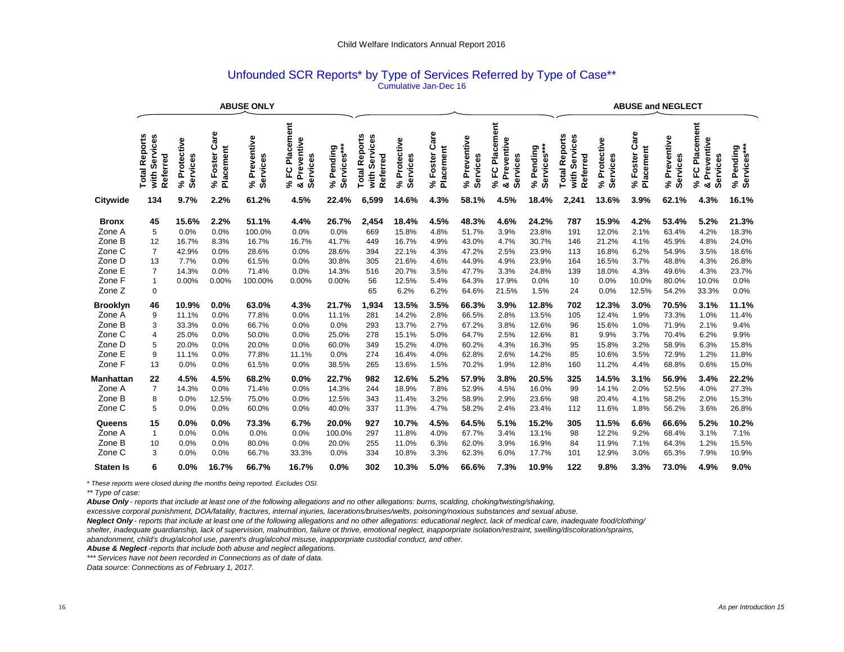### Unfounded SCR Reports\* by Type of Services Referred by Type of Case\*\* Cumulative Jan-Dec 16

|                                                                                                                                                                   |                                                                                                                   |                                                                                                                         |                                                                                                               |                                                                                                                               |                                                                                                                 |                                                                                                                         |                                                                                                         |                                                                                                                                    | <b>ABUSE and NEGLECT</b>                                                                                             |                                                                                                                                     |                                                                                                                        |                                                                                                                                   |                                                                                                 |                                                                                                                                  |                                                                                                                        |                                                                                                                                     |                                                                                                                        |                                                                                                                                 |
|-------------------------------------------------------------------------------------------------------------------------------------------------------------------|-------------------------------------------------------------------------------------------------------------------|-------------------------------------------------------------------------------------------------------------------------|---------------------------------------------------------------------------------------------------------------|-------------------------------------------------------------------------------------------------------------------------------|-----------------------------------------------------------------------------------------------------------------|-------------------------------------------------------------------------------------------------------------------------|---------------------------------------------------------------------------------------------------------|------------------------------------------------------------------------------------------------------------------------------------|----------------------------------------------------------------------------------------------------------------------|-------------------------------------------------------------------------------------------------------------------------------------|------------------------------------------------------------------------------------------------------------------------|-----------------------------------------------------------------------------------------------------------------------------------|-------------------------------------------------------------------------------------------------|----------------------------------------------------------------------------------------------------------------------------------|------------------------------------------------------------------------------------------------------------------------|-------------------------------------------------------------------------------------------------------------------------------------|------------------------------------------------------------------------------------------------------------------------|---------------------------------------------------------------------------------------------------------------------------------|
|                                                                                                                                                                   | <b>Total Reports</b><br>Services<br>Referred<br>with                                                              | Protective<br>Services<br>چ                                                                                             | are<br>ပ<br>Placement<br>Foster<br>వి                                                                         | Preventive<br>Services<br>వి                                                                                                  | Placement<br>Preventive<br>Services<br>ပူ<br>న్<br>න්                                                           | Services***<br>Pending<br>వి                                                                                            | <b>Total Reports</b><br>Services<br>Referred<br>with                                                    | Protective<br>Services<br>న్                                                                                                       | are<br>ပ<br>Placement<br>Foster<br>వి                                                                                | Preventive<br>Services<br>న్                                                                                                        | Placement<br>Preventive<br>Services<br>ပူ<br>వి<br>න්                                                                  | Services***<br>Pending<br>న్                                                                                                      | eports<br>Services<br>Referred<br>ě<br>Total<br>with                                            | Protective<br>Services<br>వి                                                                                                     | are<br>ပ<br>Placement<br>Foster<br>న్                                                                                  | Preventive<br>Services<br>వి                                                                                                        | Placement<br>Preventive<br>Services<br>ဥ<br>వి<br>න්                                                                   | % Pending<br>Services***                                                                                                        |
| Citywide                                                                                                                                                          | 134                                                                                                               | 9.7%                                                                                                                    | 2.2%                                                                                                          | 61.2%                                                                                                                         | 4.5%                                                                                                            | 22.4%                                                                                                                   | 6,599                                                                                                   | 14.6%                                                                                                                              | 4.3%                                                                                                                 | 58.1%                                                                                                                               | 4.5%                                                                                                                   | 18.4%                                                                                                                             | 2.241                                                                                           | 13.6%                                                                                                                            | 3.9%                                                                                                                   | 62.1%                                                                                                                               | 4.3%                                                                                                                   | 16.1%                                                                                                                           |
| <b>Bronx</b><br>Zone A<br>Zone B<br>Zone C<br>Zone D<br>Zone E<br>Zone F<br>Zone Z<br><b>Brooklyn</b><br>Zone A<br>Zone B<br>Zone C<br>Zone D<br>Zone E<br>Zone F | 45<br>5<br>12<br>$\overline{7}$<br>13<br>$\overline{7}$<br>$\mathbf{1}$<br>0<br>46<br>9<br>3<br>4<br>5<br>9<br>13 | 15.6%<br>0.0%<br>16.7%<br>42.9%<br>7.7%<br>14.3%<br>0.00%<br>10.9%<br>11.1%<br>33.3%<br>25.0%<br>20.0%<br>11.1%<br>0.0% | 2.2%<br>0.0%<br>8.3%<br>0.0%<br>0.0%<br>0.0%<br>0.00%<br>0.0%<br>0.0%<br>0.0%<br>0.0%<br>0.0%<br>0.0%<br>0.0% | 51.1%<br>100.0%<br>16.7%<br>28.6%<br>61.5%<br>71.4%<br>100.00%<br>63.0%<br>77.8%<br>66.7%<br>50.0%<br>20.0%<br>77.8%<br>61.5% | 4.4%<br>0.0%<br>16.7%<br>0.0%<br>0.0%<br>0.0%<br>0.00%<br>4.3%<br>0.0%<br>0.0%<br>0.0%<br>0.0%<br>11.1%<br>0.0% | 26.7%<br>0.0%<br>41.7%<br>28.6%<br>30.8%<br>14.3%<br>0.00%<br>21.7%<br>11.1%<br>0.0%<br>25.0%<br>60.0%<br>0.0%<br>38.5% | 2,454<br>669<br>449<br>394<br>305<br>516<br>56<br>65<br>1,934<br>281<br>293<br>278<br>349<br>274<br>265 | 18.4%<br>15.8%<br>16.7%<br>22.1%<br>21.6%<br>20.7%<br>12.5%<br>6.2%<br>13.5%<br>14.2%<br>13.7%<br>15.1%<br>15.2%<br>16.4%<br>13.6% | 4.5%<br>4.8%<br>4.9%<br>4.3%<br>4.6%<br>3.5%<br>5.4%<br>6.2%<br>3.5%<br>2.8%<br>2.7%<br>5.0%<br>4.0%<br>4.0%<br>1.5% | 48.3%<br>51.7%<br>43.0%<br>47.2%<br>44.9%<br>47.7%<br>64.3%<br>64.6%<br>66.3%<br>66.5%<br>67.2%<br>64.7%<br>60.2%<br>62.8%<br>70.2% | 4.6%<br>3.9%<br>4.7%<br>2.5%<br>4.9%<br>3.3%<br>17.9%<br>21.5%<br>3.9%<br>2.8%<br>3.8%<br>2.5%<br>4.3%<br>2.6%<br>1.9% | 24.2%<br>23.8%<br>30.7%<br>23.9%<br>23.9%<br>24.8%<br>0.0%<br>1.5%<br>12.8%<br>13.5%<br>12.6%<br>12.6%<br>16.3%<br>14.2%<br>12.8% | 787<br>191<br>146<br>113<br>164<br>139<br>10<br>24<br>702<br>105<br>96<br>81<br>95<br>85<br>160 | 15.9%<br>12.0%<br>21.2%<br>16.8%<br>16.5%<br>18.0%<br>0.0%<br>0.0%<br>12.3%<br>12.4%<br>15.6%<br>9.9%<br>15.8%<br>10.6%<br>11.2% | 4.2%<br>2.1%<br>4.1%<br>6.2%<br>3.7%<br>4.3%<br>10.0%<br>12.5%<br>3.0%<br>1.9%<br>1.0%<br>3.7%<br>3.2%<br>3.5%<br>4.4% | 53.4%<br>63.4%<br>45.9%<br>54.9%<br>48.8%<br>49.6%<br>80.0%<br>54.2%<br>70.5%<br>73.3%<br>71.9%<br>70.4%<br>58.9%<br>72.9%<br>68.8% | 5.2%<br>4.2%<br>4.8%<br>3.5%<br>4.3%<br>4.3%<br>10.0%<br>33.3%<br>3.1%<br>1.0%<br>2.1%<br>6.2%<br>6.3%<br>1.2%<br>0.6% | 21.3%<br>18.3%<br>24.0%<br>18.6%<br>26.8%<br>23.7%<br>0.0%<br>0.0%<br>11.1%<br>11.4%<br>9.4%<br>9.9%<br>15.8%<br>11.8%<br>15.0% |
| Manhattan<br>Zone A<br>Zone B<br>Zone C<br>Queens<br>Zone A                                                                                                       | 22<br>$\overline{7}$<br>8<br>5<br>15<br>$\mathbf{1}$                                                              | 4.5%<br>14.3%<br>0.0%<br>0.0%<br>0.0%<br>0.0%                                                                           | 4.5%<br>0.0%<br>12.5%<br>0.0%<br>0.0%<br>0.0%                                                                 | 68.2%<br>71.4%<br>75.0%<br>60.0%<br>73.3%<br>0.0%                                                                             | 0.0%<br>0.0%<br>0.0%<br>0.0%<br>6.7%<br>0.0%                                                                    | 22.7%<br>14.3%<br>12.5%<br>40.0%<br>20.0%<br>100.0%                                                                     | 982<br>244<br>343<br>337<br>927<br>297                                                                  | 12.6%<br>18.9%<br>11.4%<br>11.3%<br>10.7%<br>11.8%                                                                                 | 5.2%<br>7.8%<br>3.2%<br>4.7%<br>4.5%<br>4.0%                                                                         | 57.9%<br>52.9%<br>58.9%<br>58.2%<br>64.5%<br>67.7%                                                                                  | 3.8%<br>4.5%<br>2.9%<br>2.4%<br>5.1%<br>3.4%                                                                           | 20.5%<br>16.0%<br>23.6%<br>23.4%<br>15.2%<br>13.1%                                                                                | 325<br>99<br>98<br>112<br>305<br>98                                                             | 14.5%<br>14.1%<br>20.4%<br>11.6%<br>11.5%<br>12.2%                                                                               | 3.1%<br>2.0%<br>4.1%<br>1.8%<br>6.6%<br>9.2%                                                                           | 56.9%<br>52.5%<br>58.2%<br>56.2%<br>66.6%<br>68.4%                                                                                  | 3.4%<br>4.0%<br>2.0%<br>3.6%<br>5.2%<br>3.1%                                                                           | 22.2%<br>27.3%<br>15.3%<br>26.8%<br>10.2%<br>7.1%                                                                               |
| Zone B<br>Zone C<br><b>Staten Is</b>                                                                                                                              | 10<br>3<br>6                                                                                                      | 0.0%<br>0.0%<br>0.0%                                                                                                    | 0.0%<br>0.0%<br>16.7%                                                                                         | 80.0%<br>66.7%<br>66.7%                                                                                                       | 0.0%<br>33.3%<br>16.7%                                                                                          | 20.0%<br>0.0%<br>0.0%                                                                                                   | 255<br>334<br>302                                                                                       | 11.0%<br>10.8%<br>10.3%                                                                                                            | 6.3%<br>3.3%<br>5.0%                                                                                                 | 62.0%<br>62.3%<br>66.6%                                                                                                             | 3.9%<br>6.0%<br>7.3%                                                                                                   | 16.9%<br>17.7%<br>10.9%                                                                                                           | 84<br>101<br>122                                                                                | 11.9%<br>12.9%<br>9.8%                                                                                                           | 7.1%<br>3.0%<br>3.3%                                                                                                   | 64.3%<br>65.3%<br>73.0%                                                                                                             | 1.2%<br>7.9%<br>4.9%                                                                                                   | 15.5%<br>10.9%<br>9.0%                                                                                                          |

*\* These reports were closed during the months being reported. Excludes OSI.*

*\*\* Type of case:*

*Abuse Only - reports that include at least one of the following allegations and no other allegations: burns, scalding, choking/twisting/shaking,* 

*excessive corporal punishment, DOA/fatality, fractures, internal injuries, lacerations/bruises/welts, poisoning/noxious substances and sexual abuse.*

*Neglect Only - reports that include at least one of the following allegations and no other allegations: educational neglect, lack of medical care, inadequate food/clothing/*

*shelter, inadequate guardianship, lack of supervision, malnutrition, failure ot thrive, emotional neglect, inapporpriate isolation/restraint, swelling/discoloration/sprains,*

*abandonment, child's drug/alcohol use, parent's drug/alcohol misuse, inapporpriate custodial conduct, and other.*

*Abuse & Neglect -reports that include both abuse and neglect allegations.*

*\*\*\* Services have not been recorded in Connections as of date of data.*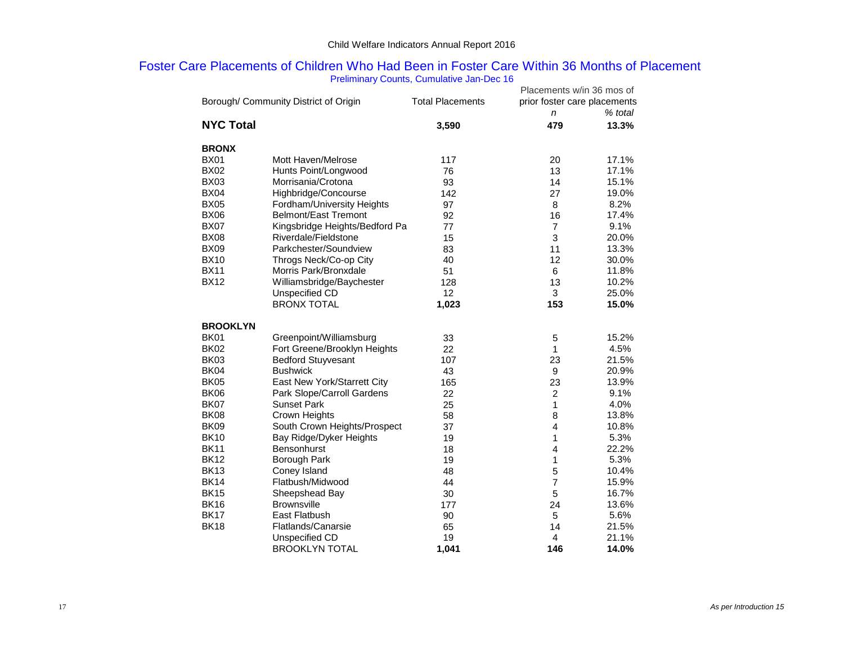## Foster Care Placements of Children Who Had Been in Foster Care Within 36 Months of Placement Preliminary Counts, Cumulative Jan-Dec 16

|                  |                                       |                         | Placements w/in 36 mos of    |         |  |  |
|------------------|---------------------------------------|-------------------------|------------------------------|---------|--|--|
|                  | Borough/ Community District of Origin | <b>Total Placements</b> | prior foster care placements |         |  |  |
|                  |                                       |                         | $\mathsf{n}$                 | % total |  |  |
| <b>NYC Total</b> |                                       | 3,590                   | 479                          | 13.3%   |  |  |
|                  |                                       |                         |                              |         |  |  |
| <b>BRONX</b>     |                                       |                         |                              |         |  |  |
| <b>BX01</b>      | Mott Haven/Melrose                    | 117                     | 20                           | 17.1%   |  |  |
| <b>BX02</b>      | Hunts Point/Longwood                  | 76                      | 13                           | 17.1%   |  |  |
| <b>BX03</b>      | Morrisania/Crotona                    | 93                      | 14                           | 15.1%   |  |  |
| <b>BX04</b>      | Highbridge/Concourse                  | 142                     | 27                           | 19.0%   |  |  |
| <b>BX05</b>      | Fordham/University Heights            | 97                      | 8                            | 8.2%    |  |  |
| <b>BX06</b>      | <b>Belmont/East Tremont</b>           | 92                      | 16                           | 17.4%   |  |  |
| <b>BX07</b>      | Kingsbridge Heights/Bedford Pa        | 77                      | $\overline{7}$               | 9.1%    |  |  |
| <b>BX08</b>      | Riverdale/Fieldstone                  | 15                      | 3                            | 20.0%   |  |  |
| <b>BX09</b>      | Parkchester/Soundview                 | 83                      | 11                           | 13.3%   |  |  |
| <b>BX10</b>      | Throgs Neck/Co-op City                | 40                      | 12                           | 30.0%   |  |  |
| <b>BX11</b>      | Morris Park/Bronxdale                 | 51                      | 6                            | 11.8%   |  |  |
| <b>BX12</b>      | Williamsbridge/Baychester             | 128                     | 13                           | 10.2%   |  |  |
|                  | Unspecified CD                        | 12                      | 3                            | 25.0%   |  |  |
|                  | <b>BRONX TOTAL</b>                    | 1,023                   | 153                          | 15.0%   |  |  |
|                  |                                       |                         |                              |         |  |  |
| <b>BROOKLYN</b>  |                                       |                         |                              |         |  |  |
| <b>BK01</b>      | Greenpoint/Williamsburg               | 33                      | 5                            | 15.2%   |  |  |
| <b>BK02</b>      | Fort Greene/Brooklyn Heights          | 22                      | 1                            | 4.5%    |  |  |
| <b>BK03</b>      | <b>Bedford Stuyvesant</b>             | 107                     | 23                           | 21.5%   |  |  |
| <b>BK04</b>      | <b>Bushwick</b>                       | 43                      | 9                            | 20.9%   |  |  |
| <b>BK05</b>      | East New York/Starrett City           | 165                     | 23                           | 13.9%   |  |  |
| <b>BK06</b>      | Park Slope/Carroll Gardens            | 22                      | $\overline{c}$               | 9.1%    |  |  |
| <b>BK07</b>      | <b>Sunset Park</b>                    | 25                      | $\mathbf{1}$                 | 4.0%    |  |  |
| <b>BK08</b>      | Crown Heights                         | 58                      | 8                            | 13.8%   |  |  |
| <b>BK09</b>      | South Crown Heights/Prospect          | 37                      | $\overline{4}$               | 10.8%   |  |  |
| <b>BK10</b>      | Bay Ridge/Dyker Heights               | 19                      | 1                            | 5.3%    |  |  |
| <b>BK11</b>      | <b>Bensonhurst</b>                    | 18                      | 4                            | 22.2%   |  |  |
| <b>BK12</b>      | Borough Park                          | 19                      | 1                            | 5.3%    |  |  |
| <b>BK13</b>      | Coney Island                          | 48                      | 5                            | 10.4%   |  |  |
| <b>BK14</b>      | Flatbush/Midwood                      | 44                      | $\overline{7}$               | 15.9%   |  |  |
| <b>BK15</b>      | Sheepshead Bay                        | 30                      | 5                            | 16.7%   |  |  |
| <b>BK16</b>      | <b>Brownsville</b>                    | 177                     | 24                           | 13.6%   |  |  |
| <b>BK17</b>      | East Flatbush                         | 90                      | 5                            | 5.6%    |  |  |
| <b>BK18</b>      | Flatlands/Canarsie                    | 65                      | 14                           | 21.5%   |  |  |
|                  | Unspecified CD                        | 19                      | 4                            | 21.1%   |  |  |
|                  | <b>BROOKLYN TOTAL</b>                 | 1,041                   | 146                          | 14.0%   |  |  |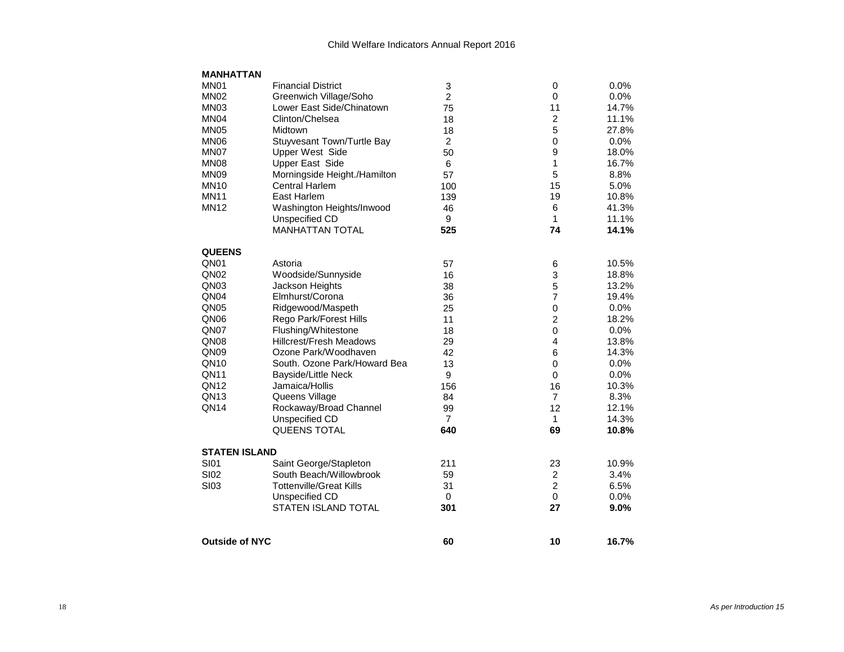| <b>MANHATTAN</b>      |                                |                |                           |       |
|-----------------------|--------------------------------|----------------|---------------------------|-------|
| MN <sub>01</sub>      | <b>Financial District</b>      | 3              | 0                         | 0.0%  |
| MN <sub>02</sub>      | Greenwich Village/Soho         | $\overline{2}$ | $\mathbf 0$               | 0.0%  |
| MN <sub>03</sub>      | Lower East Side/Chinatown      | 75             | 11                        | 14.7% |
| MN <sub>04</sub>      | Clinton/Chelsea                | 18             | $\overline{c}$            | 11.1% |
| <b>MN05</b>           | Midtown                        | 18             | 5                         | 27.8% |
| <b>MN06</b>           | Stuyvesant Town/Turtle Bay     | $\overline{2}$ | $\mathbf 0$               | 0.0%  |
| MN07                  | <b>Upper West Side</b>         | 50             | 9                         | 18.0% |
| MN <sub>08</sub>      | <b>Upper East Side</b>         | 6              | $\mathbf{1}$              | 16.7% |
| MN <sub>09</sub>      | Morningside Height./Hamilton   | 57             | 5                         | 8.8%  |
| <b>MN10</b>           | <b>Central Harlem</b>          | 100            | 15                        | 5.0%  |
| <b>MN11</b>           | East Harlem                    | 139            | 19                        | 10.8% |
| <b>MN12</b>           | Washington Heights/Inwood      | 46             | 6                         | 41.3% |
|                       | Unspecified CD                 | 9              | 1                         | 11.1% |
|                       | <b>MANHATTAN TOTAL</b>         | 525            | 74                        | 14.1% |
| <b>QUEENS</b>         |                                |                |                           |       |
| QN <sub>01</sub>      | Astoria                        | 57             | 6                         | 10.5% |
| QN <sub>02</sub>      | Woodside/Sunnyside             | 16             | $\ensuremath{\mathsf{3}}$ | 18.8% |
| QN <sub>03</sub>      | Jackson Heights                | 38             | 5                         | 13.2% |
| QN <sub>04</sub>      | Elmhurst/Corona                | 36             | $\overline{7}$            | 19.4% |
| QN <sub>05</sub>      | Ridgewood/Maspeth              | 25             | $\mathbf 0$               | 0.0%  |
| QN <sub>06</sub>      | Rego Park/Forest Hills         | 11             | $\overline{2}$            | 18.2% |
| QN07                  | Flushing/Whitestone            | 18             | $\Omega$                  | 0.0%  |
| QN <sub>08</sub>      | <b>Hillcrest/Fresh Meadows</b> | 29             | $\overline{4}$            | 13.8% |
| QN <sub>09</sub>      | Ozone Park/Woodhaven           | 42             | 6                         | 14.3% |
| QN10                  | South. Ozone Park/Howard Bea   | 13             | 0                         | 0.0%  |
| QN <sub>11</sub>      | <b>Bayside/Little Neck</b>     | 9              | $\mathbf 0$               | 0.0%  |
| QN12                  | Jamaica/Hollis                 | 156            | 16                        | 10.3% |
| QN13                  | Queens Village                 | 84             | $\overline{7}$            | 8.3%  |
| QN <sub>14</sub>      | Rockaway/Broad Channel         | 99             | 12                        | 12.1% |
|                       | Unspecified CD                 | $\overline{7}$ | 1                         | 14.3% |
|                       | <b>QUEENS TOTAL</b>            | 640            | 69                        | 10.8% |
| <b>STATEN ISLAND</b>  |                                |                |                           |       |
| <b>SI01</b>           | Saint George/Stapleton         | 211            | 23                        | 10.9% |
| <b>SI02</b>           | South Beach/Willowbrook        | 59             | $\overline{2}$            | 3.4%  |
| <b>SI03</b>           | <b>Tottenville/Great Kills</b> | 31             | $\overline{c}$            | 6.5%  |
|                       | Unspecified CD                 | $\mathbf 0$    | $\mathbf 0$               | 0.0%  |
|                       | <b>STATEN ISLAND TOTAL</b>     | 301            | 27                        | 9.0%  |
| <b>Outside of NYC</b> |                                | 60             | 10                        | 16.7% |
|                       |                                |                |                           |       |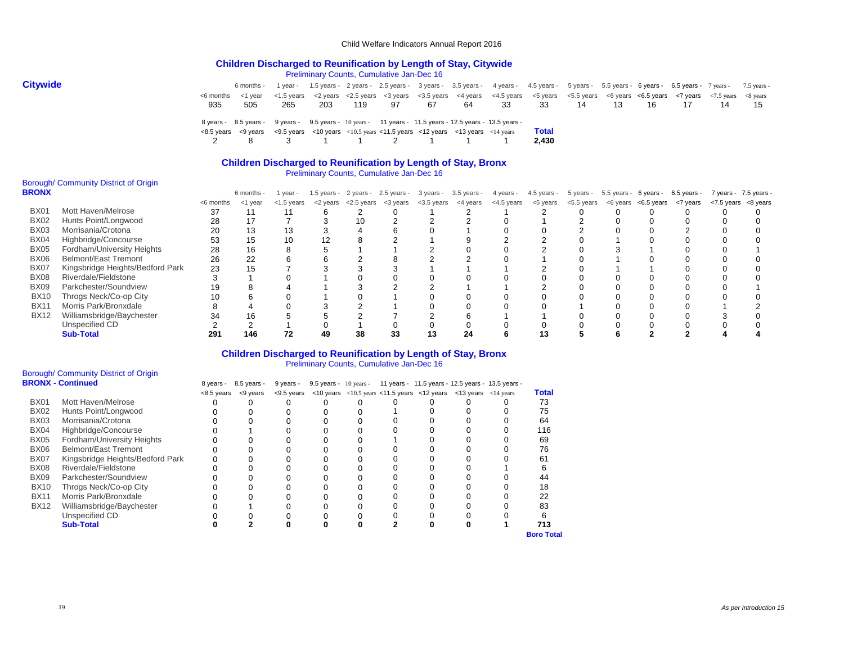#### **Children Discharged to Reunification by Length of Stay, Citywide** Preliminary Counts, Cumulative Jan-Dec 16

| <b>Citywide</b> |           | 6 months -                                                                                                                                  |     |     |     |    |    |      | 1 year - 1.5 years - 2 years - 2.5 years - 3 years - 3.5 years - 4 years - 4.5 years - 5 years - 5.5 years - 6 years - 6.5 years - 7 years - 7.5 years - 7.5 years - 7.5 years - 7.5 years - 7.5 years - 7.5 years - 7.5 years |              |    |    |       |  |       |
|-----------------|-----------|---------------------------------------------------------------------------------------------------------------------------------------------|-----|-----|-----|----|----|------|--------------------------------------------------------------------------------------------------------------------------------------------------------------------------------------------------------------------------------|--------------|----|----|-------|--|-------|
|                 | <6 months | ≺1 vear                                                                                                                                     |     |     |     |    |    |      | <1.5 years <2 years <2.5 years <3 years <3.5 years <4 years <4.5 years <5.5 years <6.5 years <6.5 years <7 years <7.5 years <8.5 years <7 years <8.5 years <8.5 years <4.5 years <4.5 years <4.5 years <4.5 years <4.5 years   |              |    |    |       |  |       |
|                 | 935       | -505                                                                                                                                        | 265 | 203 | 119 | 97 | 67 | - 64 | 33                                                                                                                                                                                                                             | 33           | 14 | 13 | 16 17 |  | 14 15 |
|                 |           | 8 years - 8.5 years - 9 years - 9.5 years - 10 years - 11 years - 11.5 years - 12.5 years - 13.5 years -                                    |     |     |     |    |    |      |                                                                                                                                                                                                                                |              |    |    |       |  |       |
|                 |           | $\lt$ 8.5 years $\lt$ 9 years $\lt$ 9.5 years $\lt$ 10 years $\lt$ 10.5 years $\lt$ 11.5 years $\lt$ 12 years $\lt$ 13 years $\lt$ 14 years |     |     |     |    |    |      |                                                                                                                                                                                                                                | <b>Total</b> |    |    |       |  |       |
|                 |           | 2 8 3 1 1 2 1 1                                                                                                                             |     |     |     |    |    |      |                                                                                                                                                                                                                                | 2.430        |    |    |       |  |       |

## **Children Discharged to Reunification by Length of Stay, Bronx**

Preliminary Counts, Cumulative Jan-Dec 16

#### Borough/ Community District of Origin **BRO**

| RONX        |                                  |           | 6 months - | l year -      |                                       | 1.5 years - 2 years - 2.5 years - 3 years - 3.5 years - |            |          | 4 years -  | 4.5 years - 5 years - 5.5 years - 6 years - 6.5 years - |                                         |  |  | 7 years - 7.5 years - |
|-------------|----------------------------------|-----------|------------|---------------|---------------------------------------|---------------------------------------------------------|------------|----------|------------|---------------------------------------------------------|-----------------------------------------|--|--|-----------------------|
|             |                                  | <6 months | <1 year    | $<$ 1.5 years | $<$ 2 years $<$ 2.5 years $<$ 3 years |                                                         | <3.5 years | <4 years | <4.5 years | <5 years                                                | <5.5 years <6 years <6.5 years <7 years |  |  | <7.5 years <8 years   |
| <b>BX01</b> | Mott Haven/Melrose               |           |            |               |                                       |                                                         |            |          |            |                                                         |                                         |  |  |                       |
| BX02        | Hunts Point/Longwood             | 28        |            |               | 10                                    |                                                         |            |          |            |                                                         |                                         |  |  |                       |
| <b>BX03</b> | Morrisania/Crotona               | 20        | 13         |               |                                       |                                                         |            |          |            |                                                         |                                         |  |  |                       |
| BX04        | Highbridge/Concourse             | 53        | 15         | 10            |                                       |                                                         |            |          |            |                                                         |                                         |  |  |                       |
| BX05        | Fordham/University Heights       | 28        | 16         |               |                                       |                                                         |            |          |            |                                                         |                                         |  |  |                       |
| <b>BX06</b> | <b>Belmont/East Tremont</b>      | 26        | 22         |               |                                       |                                                         |            |          |            |                                                         |                                         |  |  |                       |
| BX07        | Kingsbridge Heights/Bedford Park | 23        | 15         |               |                                       |                                                         |            |          |            |                                                         |                                         |  |  |                       |
| <b>BX08</b> | Riverdale/Fieldstone             |           |            |               |                                       |                                                         |            |          |            |                                                         |                                         |  |  |                       |
| <b>BX09</b> | Parkchester/Soundview            |           |            |               |                                       |                                                         |            |          |            |                                                         |                                         |  |  |                       |
| <b>BX10</b> | Throgs Neck/Co-op City           | 10        |            |               |                                       |                                                         |            |          |            |                                                         |                                         |  |  |                       |
| <b>BX11</b> | Morris Park/Bronxdale            |           |            |               |                                       |                                                         |            |          |            |                                                         |                                         |  |  |                       |
| <b>BX12</b> | Williamsbridge/Baychester        |           | 16         |               |                                       |                                                         |            |          |            |                                                         |                                         |  |  |                       |
|             | Unspecified CD                   |           |            |               |                                       |                                                         |            |          |            |                                                         |                                         |  |  |                       |
|             | <b>Sub-Total</b>                 | 291       | 146        |               | 38                                    | 33                                                      | 13         |          |            |                                                         |                                         |  |  |                       |

## **Children Discharged to Reunification by Length of Stay, Bronx**

Preliminary Counts, Cumulative Jan-Dec 16

#### Borough/ Community District of Origin **BRONX - Continued**

|             | <b>BRONX - Continued</b>         | 8 years -  | 8.5 years - | 9 years -     |  |  |                                                                                                                       | 9.5 years - 10 years - 11 years - 11.5 years - 12.5 years - 13.5 years - |                   |
|-------------|----------------------------------|------------|-------------|---------------|--|--|-----------------------------------------------------------------------------------------------------------------------|--------------------------------------------------------------------------|-------------------|
|             |                                  | <8.5 vears | <9 years    | $<$ 9.5 years |  |  | $\langle$ 10 years $\langle$ 10.5 years $\langle$ 11.5 years $\langle$ 12 years $\langle$ 13 years $\langle$ 14 years |                                                                          | <b>Total</b>      |
| <b>BX01</b> | Mott Haven/Melrose               |            |             |               |  |  |                                                                                                                       |                                                                          | 73                |
| <b>BX02</b> | Hunts Point/Longwood             |            |             |               |  |  |                                                                                                                       |                                                                          | 75                |
| <b>BX03</b> | Morrisania/Crotona               |            |             |               |  |  |                                                                                                                       |                                                                          | 64                |
| <b>BX04</b> | Highbridge/Concourse             |            |             |               |  |  |                                                                                                                       |                                                                          | 116               |
| <b>BX05</b> | Fordham/University Heights       |            |             |               |  |  |                                                                                                                       |                                                                          | 69                |
| <b>BX06</b> | Belmont/East Tremont             |            |             |               |  |  |                                                                                                                       |                                                                          | 76                |
| <b>BX07</b> | Kingsbridge Heights/Bedford Park |            |             |               |  |  |                                                                                                                       |                                                                          | 61                |
| <b>BX08</b> | Riverdale/Fieldstone             |            |             |               |  |  |                                                                                                                       |                                                                          |                   |
| <b>BX09</b> | Parkchester/Soundview            |            |             |               |  |  |                                                                                                                       |                                                                          | 44                |
| <b>BX10</b> | Throgs Neck/Co-op City           |            |             |               |  |  |                                                                                                                       |                                                                          | 18                |
| <b>BX11</b> | Morris Park/Bronxdale            |            |             |               |  |  |                                                                                                                       |                                                                          | 22                |
| <b>BX12</b> | Williamsbridge/Baychester        |            |             |               |  |  |                                                                                                                       |                                                                          | 83                |
|             | Unspecified CD                   |            |             |               |  |  |                                                                                                                       |                                                                          |                   |
|             | <b>Sub-Total</b>                 |            |             |               |  |  |                                                                                                                       |                                                                          | 713               |
|             |                                  |            |             |               |  |  |                                                                                                                       |                                                                          | <b>Boro Total</b> |

19 *As per Introduction 15*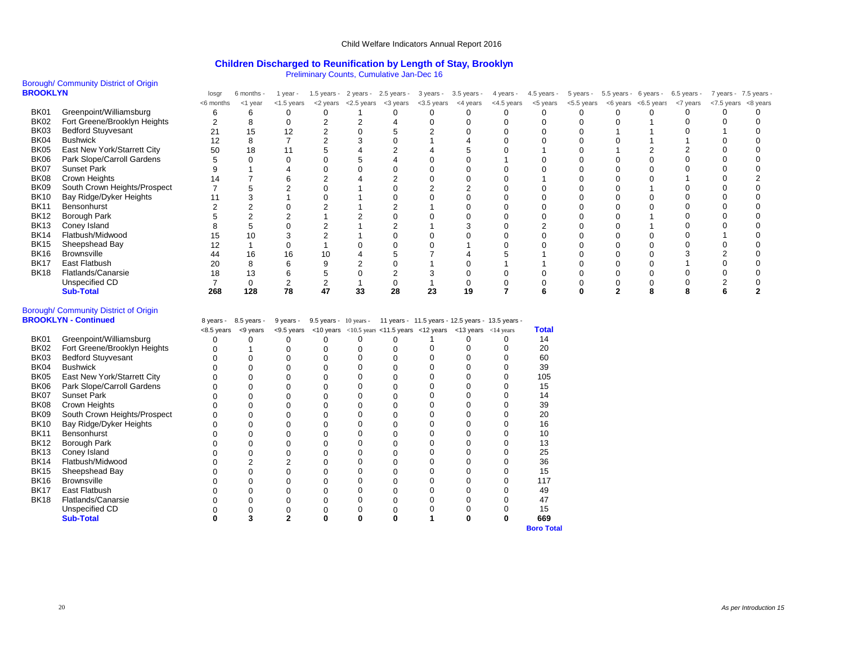#### **Children Discharged to Reunification by Length of Stay, Brooklyn**

Preliminary Counts, Cumulative Jan-Dec 16

#### Borough/ Community District of Origin **B**

| <b>ROOKLYN</b> |                              | losgr     | 6 months - | 1 year -      | $1.5$ years - | 2 years -  | $2.5$ years - | 3 years -  | $3.5$ years - | 4 years -  | $4.5$ years - | 5 years -  | 5.5 years - | 6 years -  | 6.5 years - | 7 years - 7.5 years - |          |
|----------------|------------------------------|-----------|------------|---------------|---------------|------------|---------------|------------|---------------|------------|---------------|------------|-------------|------------|-------------|-----------------------|----------|
|                |                              | <6 months | $<$ 1 year | $<$ 1.5 years | <2 years      | <2.5 years | <3 years      | <3.5 years | <4 years      | <4.5 years | <5 years      | <5.5 years | <6 years    | <6.5 years | <7 years    | <7.5 years            | <8 years |
| BK01           | Greenpoint/Williamsburg      |           |            |               |               |            |               |            |               |            |               |            |             |            |             |                       |          |
| <b>BK02</b>    | Fort Greene/Brooklyn Heights |           |            |               |               |            |               |            |               |            |               |            |             |            |             |                       |          |
| BK03           | <b>Bedford Stuyvesant</b>    |           | 15         |               |               |            |               |            |               |            |               |            |             |            |             |                       |          |
| BK04           | <b>Bushwick</b>              |           |            |               |               |            |               |            |               |            |               |            |             |            |             |                       |          |
| BK05           | East New York/Starrett City  | 50        | 18         |               |               |            |               |            |               |            |               |            |             |            |             |                       |          |
| BK06           | Park Slope/Carroll Gardens   |           |            |               |               |            |               |            |               |            |               |            |             |            |             |                       |          |
| <b>BK07</b>    | <b>Sunset Park</b>           |           |            |               |               |            |               |            |               |            |               |            |             |            |             |                       |          |
| <b>BK08</b>    | Crown Heights                |           |            |               |               |            |               |            |               |            |               |            |             |            |             |                       |          |
| BK09           | South Crown Heights/Prospect |           |            |               |               |            |               |            |               |            |               |            |             |            |             |                       |          |
| <b>BK10</b>    | Bay Ridge/Dyker Heights      |           |            |               |               |            |               |            |               |            |               |            |             |            |             |                       |          |
| <b>BK11</b>    | Bensonhurst                  |           |            |               |               |            |               |            |               |            |               |            |             |            |             |                       |          |
| <b>BK12</b>    | <b>Borough Park</b>          |           |            |               |               |            |               |            |               |            |               |            |             |            |             |                       |          |
| <b>BK13</b>    | Coney Island                 |           |            |               |               |            |               |            |               |            |               |            |             |            |             |                       |          |
| <b>BK14</b>    | Flatbush/Midwood             |           |            |               |               |            |               |            |               |            |               |            |             |            |             |                       |          |
| <b>BK15</b>    | Sheepshead Bay               |           |            |               |               |            |               |            |               |            |               |            |             |            |             |                       |          |
| <b>BK16</b>    | <b>Brownsville</b>           |           | 16         |               |               |            |               |            |               |            |               |            |             |            |             |                       |          |
| <b>BK17</b>    | East Flatbush                | 20        |            |               |               |            |               |            |               |            |               |            |             |            |             |                       |          |
| <b>BK18</b>    | Flatlands/Canarsie           |           |            |               |               |            |               |            |               |            |               |            |             |            |             |                       |          |
|                | Unspecified CD               |           |            |               |               |            |               |            |               |            |               |            |             |            |             |                       |          |
|                | <b>Sub-Total</b>             | 268       | 128        | 78            | 47            | 33         | 28            | 23         | 19            |            |               |            |             |            |             |                       |          |

## Borough/ Community District of Origin

|             | <b>BROOKLYN - Continued</b>  | 8 years -  | 8.5 years - | 9 years - |  |                                                                                                                                                  |  | 9.5 years - 10 years - 11 years - 11.5 years - 12.5 years - 13.5 years - |       |
|-------------|------------------------------|------------|-------------|-----------|--|--------------------------------------------------------------------------------------------------------------------------------------------------|--|--------------------------------------------------------------------------|-------|
|             |                              | <8.5 years | <9 years    |           |  | $\langle$ -9.5 years $\langle$ -10 years $\langle$ -10.5 years $\langle$ -11.5 years $\langle$ -12 years $\langle$ -13 years $\langle$ -14 years |  |                                                                          | Total |
| <b>BK01</b> | Greenpoint/Williamsburg      |            |             |           |  |                                                                                                                                                  |  |                                                                          | 14    |
| <b>BK02</b> | Fort Greene/Brooklyn Heights |            |             |           |  |                                                                                                                                                  |  |                                                                          | 20    |
| <b>BK03</b> | <b>Bedford Stuyvesant</b>    |            |             |           |  |                                                                                                                                                  |  |                                                                          | 60    |
| BK04        | <b>Bushwick</b>              |            |             |           |  |                                                                                                                                                  |  |                                                                          | 39    |
| <b>BK05</b> | East New York/Starrett City  |            |             |           |  |                                                                                                                                                  |  |                                                                          | 105   |
| <b>BK06</b> | Park Slope/Carroll Gardens   |            |             |           |  |                                                                                                                                                  |  |                                                                          | 15    |
| <b>BK07</b> | <b>Sunset Park</b>           |            |             |           |  |                                                                                                                                                  |  |                                                                          | 14    |
| <b>BK08</b> | Crown Heights                |            |             |           |  |                                                                                                                                                  |  |                                                                          | 39    |
| <b>BK09</b> | South Crown Heights/Prospect |            |             |           |  |                                                                                                                                                  |  |                                                                          | 20    |
| <b>BK10</b> | Bay Ridge/Dyker Heights      |            |             |           |  |                                                                                                                                                  |  |                                                                          | 16    |
| <b>BK11</b> | Bensonhurst                  |            |             |           |  |                                                                                                                                                  |  |                                                                          | 10    |
| <b>BK12</b> | Borough Park                 |            |             |           |  |                                                                                                                                                  |  |                                                                          | 13    |
| <b>BK13</b> | Coney Island                 |            |             |           |  |                                                                                                                                                  |  |                                                                          | 25    |
| <b>BK14</b> | Flatbush/Midwood             |            |             |           |  |                                                                                                                                                  |  |                                                                          | 36    |
| <b>BK15</b> | Sheepshead Bay               |            |             |           |  |                                                                                                                                                  |  |                                                                          | 15    |
| <b>BK16</b> | <b>Brownsville</b>           |            |             |           |  |                                                                                                                                                  |  |                                                                          | 117   |
| <b>BK17</b> | East Flatbush                |            |             |           |  |                                                                                                                                                  |  |                                                                          | 49    |
| <b>BK18</b> | Flatlands/Canarsie           |            |             |           |  |                                                                                                                                                  |  |                                                                          | 47    |
|             | Unspecified CD               |            |             |           |  |                                                                                                                                                  |  |                                                                          | 15    |
|             | <b>Sub-Total</b>             |            |             |           |  |                                                                                                                                                  |  |                                                                          | 669   |

**Boro Total**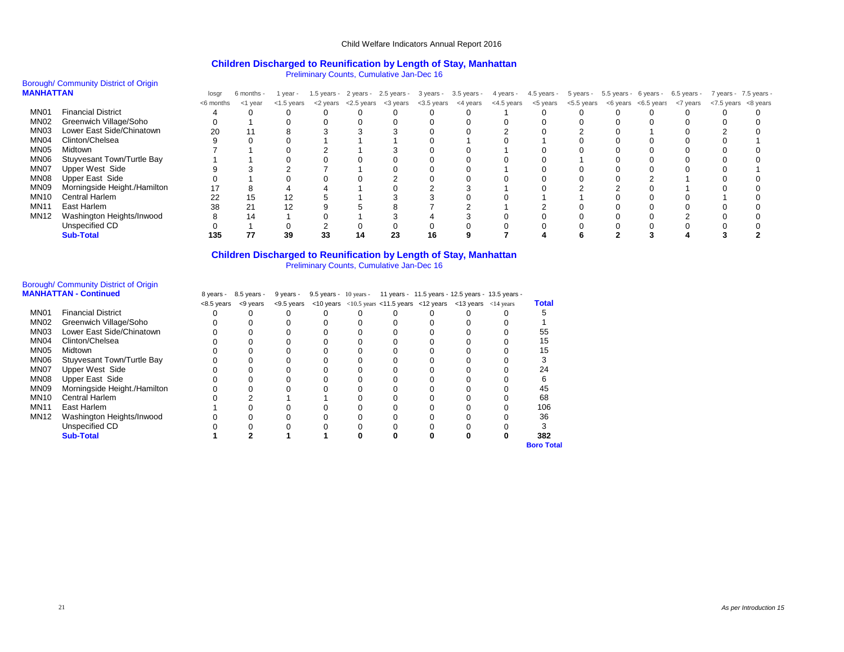#### **Children Discharged to Reunification by Length of Stay, Manhattan**

Preliminary Counts, Cumulative Jan-Dec 16

# Borough/ Community District of Origin<br>MANHATTAN

| <b>MANHATTAN</b> |                              | losgr     | 6 months - | l year -      |    |                                                                 |    |            | 1.5 years - 2 years - 2.5 years - 3 years - 3.5 years - 4 years - 4.5 years - 5 years - 5.5 years - 6 years - 6.5 years - 7 years - 7.5 years - |  |                                                                 |                     |  |
|------------------|------------------------------|-----------|------------|---------------|----|-----------------------------------------------------------------|----|------------|-------------------------------------------------------------------------------------------------------------------------------------------------|--|-----------------------------------------------------------------|---------------------|--|
|                  |                              | <6 months | <1 year    | $<$ 1.5 years |    | $<$ 2 years $<$ 2.5 years $<$ 3 years $<$ 3.5 years $<$ 4 years |    | <4.5 years |                                                                                                                                                 |  | $<$ 5 years $<$ 5.5 years $<$ 6 years $<$ 6.5 years $<$ 7 years | <7.5 years <8 years |  |
| MN <sub>01</sub> | <b>Financial District</b>    |           |            |               |    |                                                                 |    |            |                                                                                                                                                 |  |                                                                 |                     |  |
| MN <sub>02</sub> | Greenwich Village/Soho       |           |            |               |    |                                                                 |    |            |                                                                                                                                                 |  |                                                                 |                     |  |
| MN <sub>03</sub> | Lower East Side/Chinatown    | 20        |            |               |    |                                                                 |    |            |                                                                                                                                                 |  |                                                                 |                     |  |
| MN04             | Clinton/Chelsea              |           |            |               |    |                                                                 |    |            |                                                                                                                                                 |  |                                                                 |                     |  |
| MN05             | Midtown                      |           |            |               |    |                                                                 |    |            |                                                                                                                                                 |  |                                                                 |                     |  |
| MN06             | Stuyvesant Town/Turtle Bay   |           |            |               |    |                                                                 |    |            |                                                                                                                                                 |  |                                                                 |                     |  |
| MN07             | <b>Upper West Side</b>       |           |            |               |    |                                                                 |    |            |                                                                                                                                                 |  |                                                                 |                     |  |
| MN08             | Upper East Side              |           |            |               |    |                                                                 |    |            |                                                                                                                                                 |  |                                                                 |                     |  |
| MN09             | Morningside Height./Hamilton |           |            |               |    |                                                                 |    |            |                                                                                                                                                 |  |                                                                 |                     |  |
| <b>MN10</b>      | <b>Central Harlem</b>        | 22        | 15         | 12            |    |                                                                 |    |            |                                                                                                                                                 |  |                                                                 |                     |  |
| <b>MN11</b>      | East Harlem                  | 38        | 21         | 12            |    |                                                                 |    |            |                                                                                                                                                 |  |                                                                 |                     |  |
| <b>MN12</b>      | Washington Heights/Inwood    |           | 14         |               |    |                                                                 |    |            |                                                                                                                                                 |  |                                                                 |                     |  |
|                  | Unspecified CD               |           |            |               |    |                                                                 |    |            |                                                                                                                                                 |  |                                                                 |                     |  |
|                  | <b>Sub-Total</b>             | 135       |            | 39            | 33 |                                                                 | 16 |            |                                                                                                                                                 |  |                                                                 |                     |  |

## **Children Discharged to Reunification by Length of Stay, Manhattan**

Preliminary Counts, Cumulative Jan-Dec 16

# Borough/ Community District of Origin

|                  | <b>MANHATTAN - Continued</b> | 8 years -    | 8.5 years - | 9 years -     |  |  | 9.5 years - 10 years - 11 years - 11.5 years - 12.5 years - 13.5 years -                                              |                   |
|------------------|------------------------------|--------------|-------------|---------------|--|--|-----------------------------------------------------------------------------------------------------------------------|-------------------|
|                  |                              | $<8.5$ years | <9 years    | $<$ 9.5 years |  |  | $\langle$ 10 years $\langle$ 10.5 years $\langle$ 11.5 years $\langle$ 12 years $\langle$ 13 years $\langle$ 14 years | Total             |
| MN <sub>01</sub> | <b>Financial District</b>    |              |             |               |  |  |                                                                                                                       |                   |
| MN <sub>02</sub> | Greenwich Village/Soho       |              |             |               |  |  |                                                                                                                       |                   |
| MN <sub>03</sub> | Lower East Side/Chinatown    |              |             |               |  |  |                                                                                                                       | 55                |
| MN <sub>04</sub> | Clinton/Chelsea              |              |             |               |  |  |                                                                                                                       | 15                |
| MN <sub>05</sub> | Midtown                      |              |             |               |  |  |                                                                                                                       | 15                |
| <b>MN06</b>      | Stuyvesant Town/Turtle Bay   |              |             |               |  |  |                                                                                                                       |                   |
| MN <sub>07</sub> | Upper West Side              |              |             |               |  |  |                                                                                                                       | 24                |
| MN <sub>08</sub> | Upper East Side              |              |             |               |  |  |                                                                                                                       |                   |
| <b>MN09</b>      | Morningside Height./Hamilton |              |             |               |  |  |                                                                                                                       | 45                |
| <b>MN10</b>      | Central Harlem               |              |             |               |  |  |                                                                                                                       | 68                |
| <b>MN11</b>      | East Harlem                  |              |             |               |  |  |                                                                                                                       | 106               |
| <b>MN12</b>      | Washington Heights/Inwood    |              |             |               |  |  |                                                                                                                       | 36                |
|                  | Unspecified CD               |              |             |               |  |  |                                                                                                                       |                   |
|                  | <b>Sub-Total</b>             |              |             |               |  |  |                                                                                                                       | 382               |
|                  |                              |              |             |               |  |  |                                                                                                                       | <b>Boro Total</b> |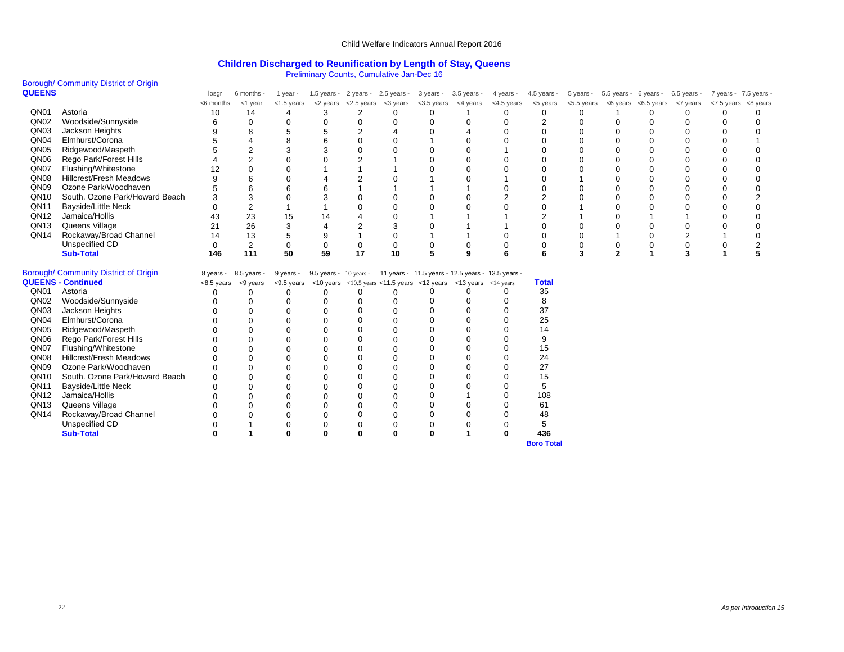#### **Children Discharged to Reunification by Length of Stay, Queens**

Preliminary Counts, Cumulative Jan-Dec 16

|                  |                                       |             |                       |               |                          |                | Prominique Sourno, Sannaiante can Boone                                    |               |               |                |                |               |              |                                   |                |                       |          |
|------------------|---------------------------------------|-------------|-----------------------|---------------|--------------------------|----------------|----------------------------------------------------------------------------|---------------|---------------|----------------|----------------|---------------|--------------|-----------------------------------|----------------|-----------------------|----------|
|                  | Borough/ Community District of Origin |             |                       |               |                          |                |                                                                            |               |               |                |                |               |              |                                   |                |                       |          |
| <b>QUEENS</b>    |                                       | losgr       | 6 months -            | 1 year -      |                          |                | 1.5 years - 2 years - 2.5 years -                                          | 3 years -     | $3.5$ years - | 4 years -      | 4.5 years -    | 5 years -     |              | 5.5 years - 6 years - 6.5 years - |                | 7 years - 7.5 years - |          |
|                  |                                       | <6 months   | $<$ 1 year            | $<$ 1.5 years | <2 years                 | <2.5 years     | <3 years                                                                   | $<$ 3.5 years | <4 years      | <4.5 years     | <5 years       | $<$ 5.5 years |              | <6 years <6.5 years <7 years      |                | <7.5 years            | <8 years |
| QN01             | Astoria                               | 10          | 14                    | 4             | 3                        | 2              | 0                                                                          | 0             | 1             | 0              | 0              | $\Omega$      |              | 0                                 | 0              | $\Omega$              | 0        |
| QN <sub>02</sub> | Woodside/Sunnyside                    | 6           | 0                     | 0             | 0                        | $\Omega$       | $\Omega$                                                                   | 0             | 0             | 0              | 2              | $\Omega$      | $\Omega$     | $\mathbf 0$                       | 0              | 0                     | ∩        |
| QN <sub>03</sub> | Jackson Heights                       | 9           | 8                     | 5             | 5                        | $\overline{2}$ |                                                                            | 0             | 4             | $\Omega$       | $\Omega$       | $\Omega$      |              | $\Omega$                          | $\Omega$       | $\Omega$              |          |
| QN <sub>04</sub> | Elmhurst/Corona                       |             | $\overline{4}$        | 8             | 6                        | $\Omega$       | $\Omega$                                                                   |               | $\Omega$      | $\Omega$       | $\Omega$       | $\Omega$      |              | $\mathbf 0$                       | $\Omega$       | $\Omega$              |          |
| QN <sub>05</sub> | Ridgewood/Maspeth                     |             | $\overline{2}$        | 3             | 3                        | $\Omega$       | $\Omega$                                                                   | 0             | $\Omega$      |                | $\Omega$       | $\Omega$      |              | $\Omega$                          | $\Omega$       | 0                     |          |
| QN06             | Rego Park/Forest Hills                |             | $\overline{2}$        | $\Omega$      |                          | $\overline{2}$ |                                                                            | $\Omega$      | $\Omega$      | $\Omega$       | $\mathbf 0$    | $\Omega$      |              | $\mathbf 0$                       | $\Omega$       | $\Omega$              |          |
| QN07             | Flushing/Whitestone                   | 12          | $\Omega$              | $\Omega$      |                          |                |                                                                            | U             | $\Omega$      | $\Omega$       | $\Omega$       | $\Omega$      |              | $\mathbf 0$                       | 0              | 0                     |          |
| QN <sub>08</sub> | <b>Hillcrest/Fresh Meadows</b>        | 9           | 6                     | $\Omega$      | 4                        | $\overline{2}$ |                                                                            |               | $\Omega$      |                | $\Omega$       |               |              | $\Omega$                          | $\Omega$       | $\Omega$              |          |
| QN <sub>09</sub> | Ozone Park/Woodhaven                  | 5           | 6                     | 6             | 6                        |                |                                                                            |               |               | 0              | $\mathbf 0$    | $\Omega$      |              | $\mathbf 0$                       | 0              | 0                     |          |
| QN10             | South, Ozone Park/Howard Beach        | 3           | 3                     | $\Omega$      | 3                        | $\Omega$       |                                                                            | $\Omega$      | $\Omega$      | $\overline{2}$ | $\overline{2}$ | $\Omega$      |              | $\Omega$                          | $\Omega$       | $\Omega$              | 2        |
| QN11             | <b>Bayside/Little Neck</b>            | 0           | $\overline{2}$        | 1             |                          | $\Omega$       | ∩                                                                          | $\Omega$      | $\Omega$      | $\Omega$       | $\mathbf 0$    |               |              | $\mathbf 0$                       | 0              | 0                     |          |
| QN12             | Jamaica/Hollis                        | 43          | 23                    | 15            | 14                       |                |                                                                            |               |               |                | 2              |               |              |                                   |                | $\Omega$              |          |
| QN13             | Queens Village                        | 21          | 26                    | 3             | $\overline{4}$           | $\overline{2}$ |                                                                            | 0             |               |                | $\mathbf 0$    | $\mathbf 0$   |              | $\mathbf 0$                       | $\mathbf 0$    | 0                     |          |
| QN14             | Rockaway/Broad Channel                | 14          | 13                    | 5             | 9                        |                |                                                                            |               |               | $\mathbf 0$    | $\mathbf 0$    | $\mathbf 0$   |              | $\mathbf 0$                       | $\overline{c}$ |                       |          |
|                  | Unspecified CD                        | $\mathbf 0$ | $\overline{2}$        | $\mathbf 0$   | 0                        | 0              | $\Omega$                                                                   | 0             | $\mathbf 0$   | $\mathbf 0$    | $\mathbf 0$    | $\mathbf 0$   |              | $\mathbf 0$                       | 0              | $\mathbf 0$           | 2        |
|                  | <b>Sub-Total</b>                      | 146         | 111                   | 50            | 59                       | 17             | 10                                                                         | 5             | 9             | 6              | 6              | 3             | $\mathbf{2}$ | 1                                 | 3              | 1                     | 5        |
|                  | Borough/ Community District of Origin |             | 8 years - 8.5 years - | 9 years -     | $9.5$ years - 10 years - |                | 11 years - 11.5 years - 12.5 years - 13.5 years -                          |               |               |                |                |               |              |                                   |                |                       |          |
|                  | <b>QUEENS - Continued</b>             |             | <8.5 years <9 years   |               |                          |                | <9.5 years <10 years <10.5 years <11.5 years <12 years <13 years <14 years |               |               |                | <b>Total</b>   |               |              |                                   |                |                       |          |
| QN01             | Astoria                               | 0           | 0                     | $\Omega$      | 0                        | $\Omega$       | $\Omega$                                                                   | 0             | $\Omega$      | $\Omega$       | 35             |               |              |                                   |                |                       |          |
| QN <sub>02</sub> | Woodside/Sunnyside                    | 0           | 0                     | $\Omega$      | 0                        | $\Omega$       | $\Omega$                                                                   | 0             | $\Omega$      | $\Omega$       | 8              |               |              |                                   |                |                       |          |
| QN <sub>03</sub> | Jackson Heights                       |             | $\Omega$              | $\Omega$      | $\Omega$                 | $\Omega$       |                                                                            | 0             | $\Omega$      | 0              | 37             |               |              |                                   |                |                       |          |
| QN <sub>04</sub> | Elmhurst/Corona                       |             | $\mathbf 0$           | 0             | $\Omega$                 | $\Omega$       |                                                                            | 0             | $\Omega$      | 0              | 25             |               |              |                                   |                |                       |          |
| QN <sub>05</sub> | Ridgewood/Maspeth                     | 0           | $\Omega$              | 0             | $\Omega$                 | $\Omega$       |                                                                            | 0             | $\Omega$      | $\Omega$       | 14             |               |              |                                   |                |                       |          |
| QN06             | Rego Park/Forest Hills                | 0           | $\mathbf 0$           | $\mathbf 0$   | 0                        | $\Omega$       |                                                                            | 0             | $\Omega$      | $\Omega$       | 9              |               |              |                                   |                |                       |          |
| QN07             | Flushing/Whitestone                   | 0           | $\mathbf 0$           | O             | 0                        | $\Omega$       |                                                                            | 0             | $\Omega$      | 0              | 15             |               |              |                                   |                |                       |          |
| QN08             | <b>Hillcrest/Fresh Meadows</b>        | 0           | $\Omega$              | $\Omega$      | $\Omega$                 |                |                                                                            | 0             | $\Omega$      | 0              | 24             |               |              |                                   |                |                       |          |
| QN <sub>09</sub> | Ozone Park/Woodhaven                  | 0           | $\Omega$              | $\Omega$      | $\Omega$                 |                |                                                                            | 0             | $\Omega$      | 0              | 27             |               |              |                                   |                |                       |          |
| QN10             | South, Ozone Park/Howard Beach        | 0           | $\Omega$              | 0             | 0                        | $\Omega$       |                                                                            | 0             | $\Omega$      | 0              | 15             |               |              |                                   |                |                       |          |
| QN11             | <b>Bayside/Little Neck</b>            | 0           | $\mathbf 0$           | O             | 0                        |                |                                                                            | 0             | $\Omega$      | $\mathbf 0$    | 5              |               |              |                                   |                |                       |          |
| QN12             | Jamaica/Hollis                        |             | $\Omega$              | $\Omega$      | 0                        | $\Omega$       |                                                                            | 0             |               | 0              | 108            |               |              |                                   |                |                       |          |
| QN <sub>13</sub> | Queens Village                        |             | 0                     | 0             | 0                        |                |                                                                            | 0             | $\Omega$      | 0              | 61             |               |              |                                   |                |                       |          |
| QN14             | Rockaway/Broad Channel                | 0           | $\Omega$              | 0             |                          | $\Omega$       |                                                                            | 0             | 0             | 0              | 48             |               |              |                                   |                |                       |          |
|                  |                                       |             |                       |               |                          |                |                                                                            |               |               |                |                |               |              |                                   |                |                       |          |

**Sub-Total 0 1 0 0 0 0 0 1 0 436**

**Boro Total**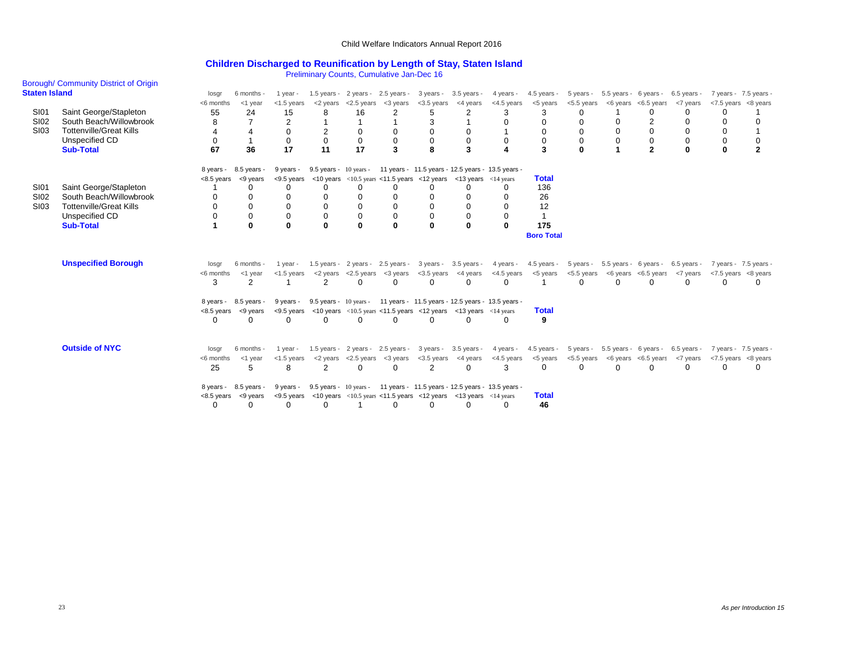### **Children Discharged to Reunification by Length of Stay, Staten Island**

Preliminary Counts, Cumulative Jan-Dec 16

| <b>Staten Island</b>                      | Borough/ Community District of Origin                                                                                     | losgr                                               | 6 months -                                                                            | 1 year -                                                                  |                                                                                  |                                                         | <b>The minimally Counts, Curriculative Jail-Dec To</b><br>1.5 years - $2 \text{ years} - 2.5 \text{ years} - 1.5 \text{ years}$ | 3 years -                                                                                                                                                                                                                                    | 3.5 years -                                               | 4 years -                                                                                                                   | 4.5 years -                                                 | 5 years -                                                              | 5.5 years - 6 years -                       |                                                               | 6.5 years -                                                      | 7 years - 7.5 years -                                             |                |
|-------------------------------------------|---------------------------------------------------------------------------------------------------------------------------|-----------------------------------------------------|---------------------------------------------------------------------------------------|---------------------------------------------------------------------------|----------------------------------------------------------------------------------|---------------------------------------------------------|---------------------------------------------------------------------------------------------------------------------------------|----------------------------------------------------------------------------------------------------------------------------------------------------------------------------------------------------------------------------------------------|-----------------------------------------------------------|-----------------------------------------------------------------------------------------------------------------------------|-------------------------------------------------------------|------------------------------------------------------------------------|---------------------------------------------|---------------------------------------------------------------|------------------------------------------------------------------|-------------------------------------------------------------------|----------------|
| <b>SI01</b><br><b>SI02</b><br><b>SI03</b> | Saint George/Stapleton<br>South Beach/Willowbrook<br><b>Tottenville/Great Kills</b><br>Unspecified CD<br><b>Sub-Total</b> | <6 months<br>55<br>8<br>$\Omega$<br>67              | $<$ 1 year<br>24<br>4<br>36                                                           | $<$ 1.5 years<br>15<br>$\overline{2}$<br>$\mathbf 0$<br>$\mathbf 0$<br>17 | <2 years<br>8<br>2<br>$\mathbf 0$<br>11                                          | <2.5 years<br>16<br>0<br>$\mathbf 0$<br>17              | <3 years<br>2<br>$\Omega$<br>$\mathbf 0$<br>3                                                                                   | <3.5 years<br>5<br>3<br>0<br>0<br>8                                                                                                                                                                                                          | <4 years<br>2<br>0<br>$\Omega$<br>3                       | <4.5 years<br>3<br>$\Omega$<br>$\Omega$                                                                                     | <5 years<br>3<br>$\Omega$<br>$\Omega$<br>$\mathbf 0$<br>3   | <5.5 years<br>$\Omega$<br>$\Omega$<br>$\Omega$<br>$\Omega$<br>$\Omega$ | $\Omega$<br>$\Omega$                        | $<$ 6 years $<$ 6.5 years<br>0<br>2<br>0<br>0<br>$\mathbf{2}$ | <7 years<br>0<br>$\Omega$<br>$\Omega$<br>$\mathbf 0$<br>$\bf{0}$ | <7.5 years <8 years<br>0<br>$\Omega$<br>$\Omega$<br>0<br>$\bf{0}$ | $\overline{2}$ |
| <b>SI01</b><br><b>SI02</b><br><b>SI03</b> | Saint George/Stapleton<br>South Beach/Willowbrook<br><b>Tottenville/Great Kills</b><br>Unspecified CD<br><b>Sub-Total</b> | 8 years -<br>$\Omega$                               | 8.5 years -<br>$<8.5$ years $<9$ years<br>U<br>$\mathbf 0$<br>$\mathbf 0$<br>$\Omega$ | 9 years -<br>$\Omega$<br>$\Omega$<br>$\Omega$<br>$\mathbf 0$<br>$\Omega$  | $9.5$ years - 10 years -<br>$\Omega$<br>0<br>$\Omega$<br>$\mathbf 0$<br>$\bf{0}$ | $\Omega$<br>0<br>$\mathbf 0$<br>$\mathbf 0$<br>$\Omega$ | ∩<br>$\Omega$<br>$\Omega$<br>$\mathbf 0$<br>$\mathbf{0}$                                                                        | $\langle 9.5 \rangle$ years $\langle 10 \rangle$ years $\langle 10.5 \rangle$ years $\langle 11.5 \rangle$ years $\langle 12 \rangle$ years $\langle 13 \rangle$ years $\langle 14 \rangle$ years<br>$\Omega$<br>$\mathbf 0$<br>$\mathbf{0}$ | n<br>$\mathbf{0}$                                         | 11 years - 11.5 years - 12.5 years - 13.5 years -<br>$\Omega$<br>$\Omega$<br>$\Omega$<br>0<br>$\mathbf{0}$                  | <b>Total</b><br>136<br>26<br>12<br>175<br><b>Boro Total</b> |                                                                        |                                             |                                                               |                                                                  |                                                                   |                |
|                                           | <b>Unspecified Borough</b>                                                                                                | losgr<br><6 months<br>3<br>$<8.5$ years<br>$\Omega$ | 6 months -<br><1 year<br>2<br>8 years - 8.5 years -<br><9 years<br>$\Omega$           | 1 year -<br>$<$ 1.5 years<br>1<br>9 years -<br>$\Omega$                   | <2 years<br>2<br>$\Omega$                                                        | $\Omega$<br>$\Omega$                                    | <2.5 years <3 years<br>$\Omega$<br>$\Omega$                                                                                     | 1.5 years - 2 years - 2.5 years - 3 years - 3.5 years -<br>$<$ 3.5 years $<$ 4 years<br>$\Omega$<br>$\leq$ 9.5 years $\leq$ 10 years $\leq$ 10.5 years $\leq$ 11.5 years $\leq$ 12 years $\leq$ 13 years $\leq$ 14 years<br>$\Omega$         | 0<br>$\Omega$                                             | 4 years -<br><4.5 years<br>$\Omega$<br>9.5 years - 10 years - 11 years - 11.5 years - 12.5 years - 13.5 years -<br>$\Omega$ | 4.5 years -<br><5 years<br><b>Total</b><br>9                | <5.5 years<br>$\Omega$                                                 | 5 years - 5.5 years - 6 years -<br>$\Omega$ | $<$ 6 years $<$ 6.5 years<br>0                                | 6.5 years -<br><7 years<br>$\Omega$                              | 7 years - 7.5 years -<br>$<$ 7.5 years $<$ 8 years<br>$\Omega$    | 0              |
|                                           | <b>Outside of NYC</b>                                                                                                     | losgr<br><6 months<br>25<br>8 years -<br>$\Omega$   | 6 months -<br><1 year<br>5<br>8.5 years -<br>$< 8.5$ years $< 9$ years<br>$\Omega$    | 1 year -<br>$<$ 1.5 years<br>8<br>9 years -<br>∩                          | $1.5$ years -<br>2<br>$\Omega$                                                   | $\Omega$                                                | 2 years - 2.5 years -<br>$<$ 2 years $<$ 2.5 years $<$ 3 years<br>$\Omega$<br>$\Omega$                                          | $<$ 3.5 years<br>2<br>$\leq$ 9.5 years $\leq$ 10 years $\leq$ 10.5 years $\leq$ 11.5 years $\leq$ 12 years $\leq$ 13 years $\leq$ 14 years<br>$\Omega$                                                                                       | 3 years - 3.5 years -<br><4 years<br>$\Omega$<br>$\Omega$ | 4 years -<br><4.5 years<br>3<br>9.5 years - 10 years - 11 years - 11.5 years - 12.5 years - 13.5 years -<br>$\Omega$        | 4.5 years -<br><5 years<br>$\Omega$<br><b>Total</b><br>46   | 5 years -<br>$<$ 5.5 years<br>$\Omega$                                 | 5.5 years - 6 years -<br>$\Omega$           | <6 years <6.5 years <7 years<br>0                             | 6.5 years -<br>$\Omega$                                          | 7 years - 7.5 years -<br><7.5 years <8 years<br>0                 | 0              |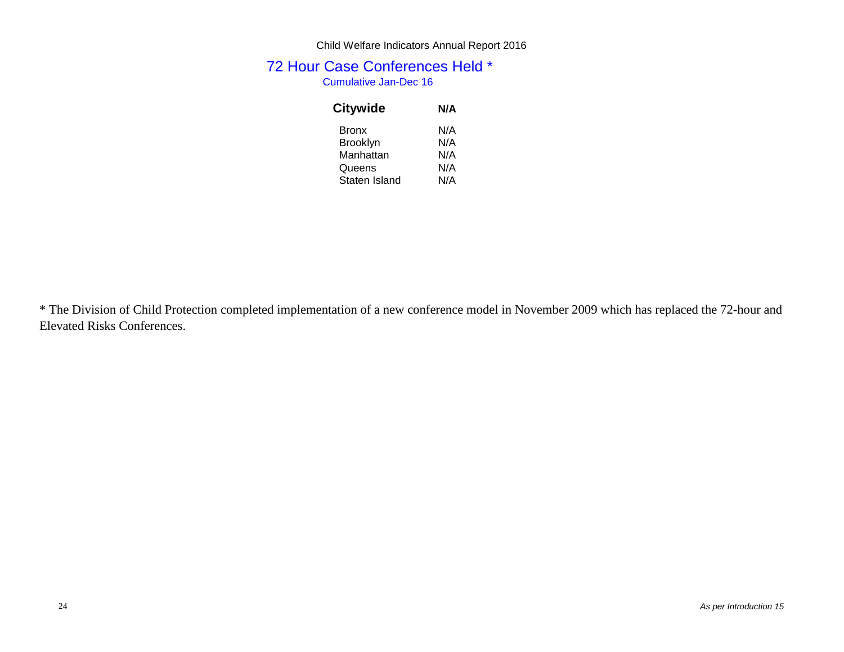# 72 Hour Case Conferences Held \* Cumulative Jan-Dec 16

| Citywide        | N/A |
|-----------------|-----|
| <b>Bronx</b>    | N/A |
| <b>Brooklyn</b> | N/A |
| Manhattan       | N/A |
| Queens          | N/A |
| Staten Island   | N/A |

\* The Division of Child Protection completed implementation of a new conference model in November 2009 which has replaced the 72-hour and Elevated Risks Conferences.